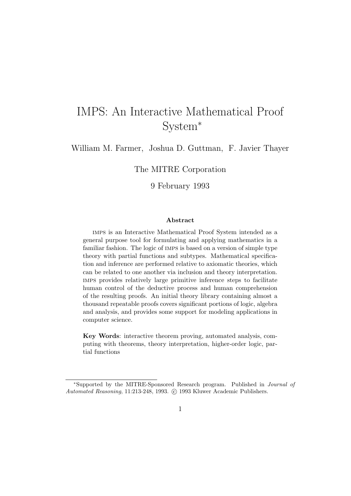# IMPS: An Interactive Mathematical Proof System<sup>∗</sup>

## William M. Farmer, Joshua D. Guttman, F. Javier Thayer

The MITRE Corporation

9 February 1993

#### Abstract

imps is an Interactive Mathematical Proof System intended as a general purpose tool for formulating and applying mathematics in a familiar fashion. The logic of IMPS is based on a version of simple type theory with partial functions and subtypes. Mathematical specification and inference are performed relative to axiomatic theories, which can be related to one another via inclusion and theory interpretation. imps provides relatively large primitive inference steps to facilitate human control of the deductive process and human comprehension of the resulting proofs. An initial theory library containing almost a thousand repeatable proofs covers significant portions of logic, algebra and analysis, and provides some support for modeling applications in computer science.

Key Words: interactive theorem proving, automated analysis, computing with theorems, theory interpretation, higher-order logic, partial functions

<sup>∗</sup>Supported by the MITRE-Sponsored Research program. Published in Journal of Automated Reasoning, 11:213-248, 1993. C 1993 Kluwer Academic Publishers.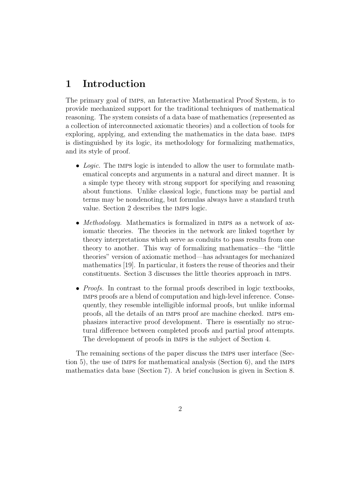## 1 Introduction

The primary goal of imps, an Interactive Mathematical Proof System, is to provide mechanized support for the traditional techniques of mathematical reasoning. The system consists of a data base of mathematics (represented as a collection of interconnected axiomatic theories) and a collection of tools for exploring, applying, and extending the mathematics in the data base. imps is distinguished by its logic, its methodology for formalizing mathematics, and its style of proof.

- Logic. The IMPS logic is intended to allow the user to formulate mathematical concepts and arguments in a natural and direct manner. It is a simple type theory with strong support for specifying and reasoning about functions. Unlike classical logic, functions may be partial and terms may be nondenoting, but formulas always have a standard truth value. Section 2 describes the imps logic.
- *Methodology*. Mathematics is formalized in IMPS as a network of axiomatic theories. The theories in the network are linked together by theory interpretations which serve as conduits to pass results from one theory to another. This way of formalizing mathematics—the "little theories" version of axiomatic method—has advantages for mechanized mathematics [19]. In particular, it fosters the reuse of theories and their constituents. Section 3 discusses the little theories approach in imps.
- *Proofs*. In contrast to the formal proofs described in logic textbooks, imps proofs are a blend of computation and high-level inference. Consequently, they resemble intelligible informal proofs, but unlike informal proofs, all the details of an imps proof are machine checked. imps emphasizes interactive proof development. There is essentially no structural difference between completed proofs and partial proof attempts. The development of proofs in imps is the subject of Section 4.

The remaining sections of the paper discuss the imps user interface (Section 5), the use of imps for mathematical analysis (Section 6), and the imps mathematics data base (Section 7). A brief conclusion is given in Section 8.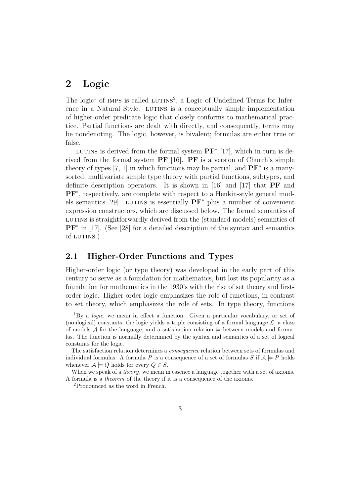## 2 Logic

The logic<sup>1</sup> of IMPS is called LUTINS<sup>2</sup>, a Logic of Undefined Terms for Inference in a Natural Style. LUTINS is a conceptually simple implementation of higher-order predicate logic that closely conforms to mathematical practice. Partial functions are dealt with directly, and consequently, terms may be nondenoting. The logic, however, is bivalent; formulas are either true or false.

LUTINS is derived from the formal system  $\mathbf{PF}^*$  [17], which in turn is derived from the formal system PF [16]. PF is a version of Church's simple theory of types [7, 1] in which functions may be partial, and  $\mathbf{PF}^*$  is a manysorted, multivariate simple type theory with partial functions, subtypes, and definite description operators. It is shown in [16] and [17] that  $PF$  and PF<sup>\*</sup>, respectively, are complete with respect to a Henkin-style general models semantics [29]. LUTINS is essentially  $\mathbf{PF}^*$  plus a number of convenient expression constructors, which are discussed below. The formal semantics of lutins is straightforwardly derived from the (standard models) semantics of **PF<sup>\*</sup>** in [17]. (See [28] for a detailed description of the syntax and semantics of LUTINS.)

## 2.1 Higher-Order Functions and Types

Higher-order logic (or type theory) was developed in the early part of this century to serve as a foundation for mathematics, but lost its popularity as a foundation for mathematics in the 1930's with the rise of set theory and firstorder logic. Higher-order logic emphasizes the role of functions, in contrast to set theory, which emphasizes the role of sets. In type theory, functions

 ${}^{1}_{1}$ By a *logic*, we mean in effect a function. Given a particular vocabulary, or set of (nonlogical) constants, the logic yields a triple consisting of a formal language  $\mathcal{L}$ , a class of models  $A$  for the language, and a satisfaction relation  $\models$  between models and formulas. The function is normally determined by the syntax and semantics of a set of logical constants for the logic.

The satisfaction relation determines a consequence relation between sets of formulas and individual formulas. A formula P is a consequence of a set of formulas S if  $A \models P$  holds whenever  $A \models Q$  holds for every  $Q \in S$ .

When we speak of a *theory*, we mean in essence a language together with a set of axioms. A formula is a theorem of the theory if it is a consequence of the axioms.

<sup>2</sup>Pronounced as the word in French.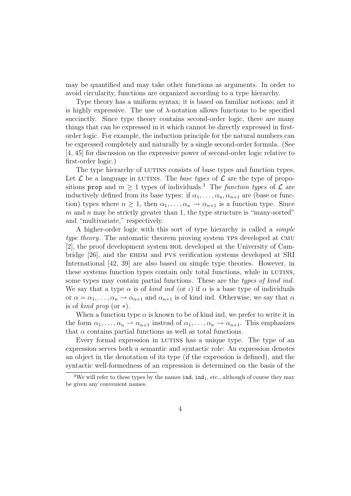may be quantified and may take other functions as arguments. In order to avoid circularity, functions are organized according to a type hierarchy.

Type theory has a uniform syntax; it is based on familiar notions; and it is highly expressive. The use of  $\lambda$ -notation allows functions to be specified succinctly. Since type theory contains second-order logic, there are many things that can be expressed in it which cannot be directly expressed in firstorder logic. For example, the induction principle for the natural numbers can be expressed completely and naturally by a single second-order formula. (See [4, 45] for discussion on the expressive power of second-order logic relative to first-order logic.)

The type hierarchy of LUTINS consists of base types and function types. Let  $\mathcal L$  be a language in LUTINS. The base types of  $\mathcal L$  are the type of propositions prop and  $m \geq 1$  types of individuals.<sup>3</sup> The function types of  $\mathcal L$  are inductively defined from its base types: if  $\alpha_1, \ldots, \alpha_n, \alpha_{n+1}$  are (base or function) types where  $n \geq 1$ , then  $\alpha_1, \ldots, \alpha_n \to \alpha_{n+1}$  is a function type. Since m and n may be strictly greater than 1, the type structure is "many-sorted" and "multivariate," respectively.

A higher-order logic with this sort of type hierarchy is called a simple type theory. The automatic theorem proving system TPS developed at CMU [2], the proof development system hol developed at the University of Cambridge [26], and the ehdm and pvs verification systems developed at SRI International [42, 39] are also based on simple type theories. However, in these systems function types contain only total functions, while in lutins, some types may contain partial functions. These are the types of kind ind. We say that a type  $\alpha$  is of kind ind (or  $\iota$ ) if  $\alpha$  is a base type of individuals or  $\alpha = \alpha_1, \ldots, \alpha_n \to \alpha_{n+1}$  and  $\alpha_{n+1}$  is of kind ind. Otherwise, we say that  $\alpha$ is of *kind prop* (or  $*$ ).

When a function type  $\alpha$  is known to be of kind ind, we prefer to write it in the form  $\alpha_1, \ldots, \alpha_n \rightharpoonup \alpha_{n+1}$  instead of  $\alpha_1, \ldots, \alpha_n \rightharpoonup \alpha_{n+1}$ . This emphasizes that  $\alpha$  contains partial functions as well as total functions.

Every formal expression in LUTINS has a unique type. The type of an expression serves both a semantic and syntactic role: An expression denotes an object in the denotation of its type (if the expression is defined), and the syntactic well-formedness of an expression is determined on the basis of the

<sup>&</sup>lt;sup>3</sup>We will refer to these types by the names  $ind$ ,  $ind_1$ , etc., although of course they may be given any convenient names.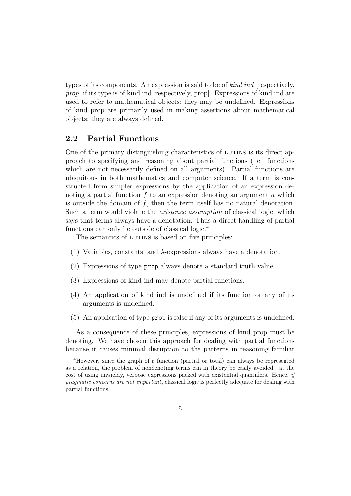types of its components. An expression is said to be of kind ind [respectively, prop] if its type is of kind ind [respectively, prop]. Expressions of kind ind are used to refer to mathematical objects; they may be undefined. Expressions of kind prop are primarily used in making assertions about mathematical objects; they are always defined.

## 2.2 Partial Functions

One of the primary distinguishing characteristics of LUTINS is its direct approach to specifying and reasoning about partial functions (i.e., functions which are not necessarily defined on all arguments). Partial functions are ubiquitous in both mathematics and computer science. If a term is constructed from simpler expressions by the application of an expression denoting a partial function  $f$  to an expression denoting an argument  $a$  which is outside the domain of  $f$ , then the term itself has no natural denotation. Such a term would violate the *existence assumption* of classical logic, which says that terms always have a denotation. Thus a direct handling of partial functions can only lie outside of classical logic.<sup>4</sup>

The semantics of LUTINS is based on five principles:

- (1) Variables, constants, and  $\lambda$ -expressions always have a denotation.
- (2) Expressions of type prop always denote a standard truth value.
- (3) Expressions of kind ind may denote partial functions.
- (4) An application of kind ind is undefined if its function or any of its arguments is undefined.
- (5) An application of type prop is false if any of its arguments is undefined.

As a consequence of these principles, expressions of kind prop must be denoting. We have chosen this approach for dealing with partial functions because it causes minimal disruption to the patterns in reasoning familiar

<sup>4</sup>However, since the graph of a function (partial or total) can always be represented as a relation, the problem of nondenoting terms can in theory be easily avoided—at the cost of using unwieldy, verbose expressions packed with existential quantifiers. Hence, if pragmatic concerns are not important, classical logic is perfectly adequate for dealing with partial functions.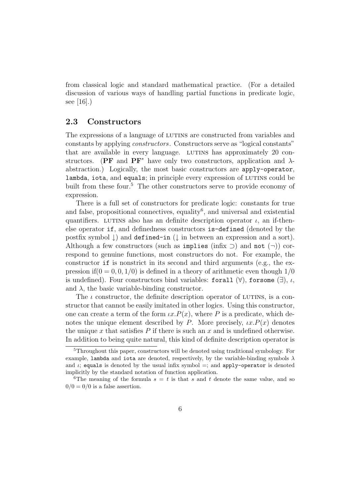from classical logic and standard mathematical practice. (For a detailed discussion of various ways of handling partial functions in predicate logic, see [16].)

## 2.3 Constructors

The expressions of a language of LUTINS are constructed from variables and constants by applying constructors. Constructors serve as "logical constants" that are available in every language. LUTINS has approximately 20 constructors. (PF and PF<sup>\*</sup> have only two constructors, application and  $\lambda$ abstraction.) Logically, the most basic constructors are apply-operator, lambda, iota, and equals; in principle every expression of lutins could be built from these four.<sup>5</sup> The other constructors serve to provide economy of expression.

There is a full set of constructors for predicate logic: constants for true and false, propositional connectives, equality<sup>6</sup>, and universal and existential quantifiers. LUTINS also has an definite description operator  $\iota$ , an if-thenelse operator if, and definedness constructors is-defined (denoted by the postfix symbol  $\downarrow$ ) and defined-in ( $\downarrow$  in between an expression and a sort). Although a few constructors (such as implies (infix  $\supset$ ) and not  $(\neg)$ ) correspond to genuine functions, most constructors do not. For example, the constructor if is nonstrict in its second and third arguments (e.g., the expression if  $(0 = 0, 0, 1/0)$  is defined in a theory of arithmetic even though  $1/0$ is undefined). Four constructors bind variables: forall  $(\forall)$ , forsome  $(\exists)$ ,  $\iota$ , and  $\lambda$ , the basic variable-binding constructor.

The  $\iota$  constructor, the definite description operator of LUTINS, is a constructor that cannot be easily imitated in other logics. Using this constructor, one can create a term of the form  $\iota x.P(x)$ , where P is a predicate, which denotes the unique element described by P. More precisely,  $\iota x.P(x)$  denotes the unique x that satisfies  $P$  if there is such an  $x$  and is undefined otherwise. In addition to being quite natural, this kind of definite description operator is

<sup>5</sup>Throughout this paper, constructors will be denoted using traditional symbology. For example, lambda and iota are denoted, respectively, by the variable-binding symbols  $\lambda$ and  $\iota$ : equals is denoted by the usual infix symbol =; and apply-operator is denoted implicitly by the standard notation of function application.

<sup>&</sup>lt;sup>6</sup>The meaning of the formula  $s = t$  is that s and t denote the same value, and so  $0/0 = 0/0$  is a false assertion.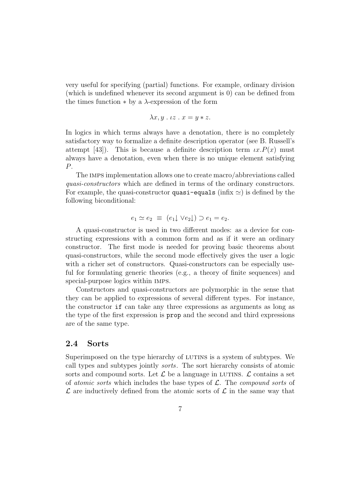very useful for specifying (partial) functions. For example, ordinary division (which is undefined whenever its second argument is 0) can be defined from the times function  $*$  by a  $\lambda$ -expression of the form

$$
\lambda x, y \cdot \iota z \cdot x = y * z.
$$

In logics in which terms always have a denotation, there is no completely satisfactory way to formalize a definite description operator (see B. Russell's attempt [43]). This is because a definite description term  $\iota x.P(x)$  must always have a denotation, even when there is no unique element satisfying P.

The IMPS implementation allows one to create macro/abbreviations called quasi-constructors which are defined in terms of the ordinary constructors. For example, the quasi-constructor quasi-equals (infix  $\simeq$ ) is defined by the following biconditional:

$$
e_1 \simeq e_2 \equiv (e_1 \downarrow \vee e_2 \downarrow) \supset e_1 = e_2.
$$

A quasi-constructor is used in two different modes: as a device for constructing expressions with a common form and as if it were an ordinary constructor. The first mode is needed for proving basic theorems about quasi-constructors, while the second mode effectively gives the user a logic with a richer set of constructors. Quasi-constructors can be especially useful for formulating generic theories (e.g., a theory of finite sequences) and special-purpose logics within imps.

Constructors and quasi-constructors are polymorphic in the sense that they can be applied to expressions of several different types. For instance, the constructor if can take any three expressions as arguments as long as the type of the first expression is prop and the second and third expressions are of the same type.

### 2.4 Sorts

Superimposed on the type hierarchy of LUTINS is a system of subtypes. We call types and subtypes jointly sorts. The sort hierarchy consists of atomic sorts and compound sorts. Let  $\mathcal L$  be a language in LUTINS.  $\mathcal L$  contains a set of *atomic sorts* which includes the base types of  $\mathcal{L}$ . The *compound sorts* of  $\mathcal L$  are inductively defined from the atomic sorts of  $\mathcal L$  in the same way that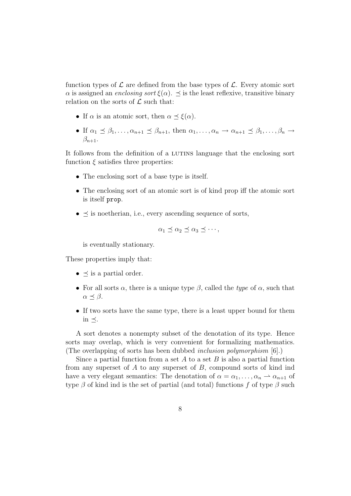function types of  $\mathcal L$  are defined from the base types of  $\mathcal L$ . Every atomic sort  $\alpha$  is assigned an *enclosing sort*  $\xi(\alpha)$ .  $\prec$  is the least reflexive, transitive binary relation on the sorts of  $\mathcal L$  such that:

- If  $\alpha$  is an atomic sort, then  $\alpha \preceq \xi(\alpha)$ .
- If  $\alpha_1 \preceq \beta_1, \ldots, \alpha_{n+1} \preceq \beta_{n+1}$ , then  $\alpha_1, \ldots, \alpha_n \to \alpha_{n+1} \preceq \beta_1, \ldots, \beta_n \to$  $\beta_{n+1}$ .

It follows from the definition of a LUTINS language that the enclosing sort function  $\xi$  satisfies three properties:

- The enclosing sort of a base type is itself.
- The enclosing sort of an atomic sort is of kind prop iff the atomic sort is itself prop.
- $\bullet \preceq$  is noetherian, i.e., every ascending sequence of sorts,

$$
\alpha_1 \preceq \alpha_2 \preceq \alpha_3 \preceq \cdots,
$$

is eventually stationary.

These properties imply that:

- $\preceq$  is a partial order.
- For all sorts  $\alpha$ , there is a unique type  $\beta$ , called the type of  $\alpha$ , such that  $\alpha \prec \beta$ .
- If two sorts have the same type, there is a least upper bound for them in  $\preceq$ .

A sort denotes a nonempty subset of the denotation of its type. Hence sorts may overlap, which is very convenient for formalizing mathematics. (The overlapping of sorts has been dubbed inclusion polymorphism [6].)

Since a partial function from a set  $A$  to a set  $B$  is also a partial function from any superset of A to any superset of B, compound sorts of kind ind have a very elegant semantics: The denotation of  $\alpha = \alpha_1, \ldots, \alpha_n \to \alpha_{n+1}$  of type  $\beta$  of kind ind is the set of partial (and total) functions f of type  $\beta$  such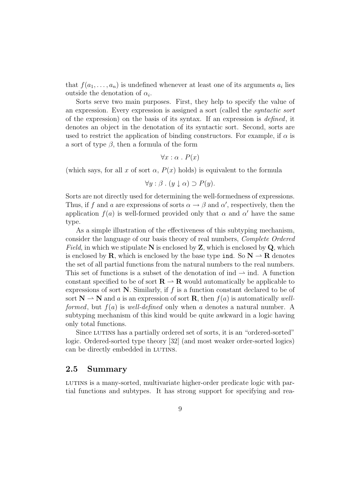that  $f(a_1, \ldots, a_n)$  is undefined whenever at least one of its arguments  $a_i$  lies outside the denotation of  $\alpha_i$ .

Sorts serve two main purposes. First, they help to specify the value of an expression. Every expression is assigned a sort (called the syntactic sort of the expression) on the basis of its syntax. If an expression is defined, it denotes an object in the denotation of its syntactic sort. Second, sorts are used to restrict the application of binding constructors. For example, if  $\alpha$  is a sort of type  $\beta$ , then a formula of the form

$$
\forall x : \alpha \cdot P(x)
$$

(which says, for all x of sort  $\alpha$ ,  $P(x)$  holds) is equivalent to the formula

$$
\forall y : \beta \,.\, (y \downarrow \alpha) \supset P(y).
$$

Sorts are not directly used for determining the well-formedness of expressions. Thus, if f and a are expressions of sorts  $\alpha \to \beta$  and  $\alpha'$ , respectively, then the application  $f(a)$  is well-formed provided only that  $\alpha$  and  $\alpha'$  have the same type.

As a simple illustration of the effectiveness of this subtyping mechanism, consider the language of our basis theory of real numbers, Complete Ordered *Field*, in which we stipulate  $N$  is enclosed by  $Z$ , which is enclosed by  $Q$ , which is enclosed by **R**, which is enclosed by the base type ind. So  $N \rightharpoonup R$  denotes the set of all partial functions from the natural numbers to the real numbers. This set of functions is a subset of the denotation of  $\text{ind} \to \text{ind}$ . A function constant specified to be of sort  $\mathbf{R} \to \mathbf{R}$  would automatically be applicable to expressions of sort  $N$ . Similarly, if  $f$  is a function constant declared to be of sort  $N \to N$  and a is an expression of sort R, then  $f(a)$  is automatically wellformed, but  $f(a)$  is well-defined only when a denotes a natural number. A subtyping mechanism of this kind would be quite awkward in a logic having only total functions.

Since LUTINS has a partially ordered set of sorts, it is an "ordered-sorted" logic. Ordered-sorted type theory [32] (and most weaker order-sorted logics) can be directly embedded in LUTINS.

### 2.5 Summary

lutins is a many-sorted, multivariate higher-order predicate logic with partial functions and subtypes. It has strong support for specifying and rea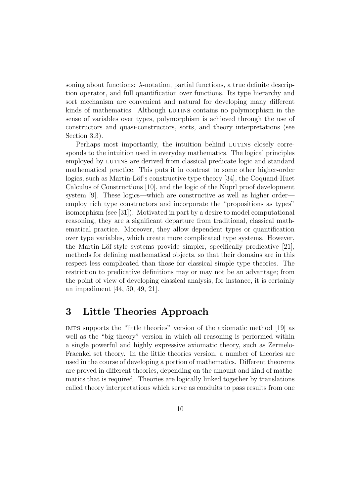soning about functions:  $\lambda$ -notation, partial functions, a true definite description operator, and full quantification over functions. Its type hierarchy and sort mechanism are convenient and natural for developing many different kinds of mathematics. Although LUTINS contains no polymorphism in the sense of variables over types, polymorphism is achieved through the use of constructors and quasi-constructors, sorts, and theory interpretations (see Section 3.3).

Perhaps most importantly, the intuition behind LUTINS closely corresponds to the intuition used in everyday mathematics. The logical principles employed by lutins are derived from classical predicate logic and standard mathematical practice. This puts it in contrast to some other higher-order logics, such as Martin-Löf's constructive type theory [34], the Coquand-Huet Calculus of Constructions [10], and the logic of the Nuprl proof development system [9]. These logics—which are constructive as well as higher order employ rich type constructors and incorporate the "propositions as types" isomorphism (see [31]). Motivated in part by a desire to model computational reasoning, they are a significant departure from traditional, classical mathematical practice. Moreover, they allow dependent types or quantification over type variables, which create more complicated type systems. However, the Martin-Löf-style systems provide simpler, specifically predicative  $[21]$ , methods for defining mathematical objects, so that their domains are in this respect less complicated than those for classical simple type theories. The restriction to predicative definitions may or may not be an advantage; from the point of view of developing classical analysis, for instance, it is certainly an impediment [44, 50, 49, 21].

## 3 Little Theories Approach

imps supports the "little theories" version of the axiomatic method [19] as well as the "big theory" version in which all reasoning is performed within a single powerful and highly expressive axiomatic theory, such as Zermelo-Fraenkel set theory. In the little theories version, a number of theories are used in the course of developing a portion of mathematics. Different theorems are proved in different theories, depending on the amount and kind of mathematics that is required. Theories are logically linked together by translations called theory interpretations which serve as conduits to pass results from one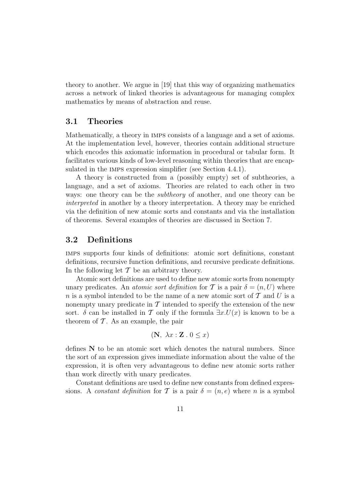theory to another. We argue in [19] that this way of organizing mathematics across a network of linked theories is advantageous for managing complex mathematics by means of abstraction and reuse.

### 3.1 Theories

Mathematically, a theory in imps consists of a language and a set of axioms. At the implementation level, however, theories contain additional structure which encodes this axiomatic information in procedural or tabular form. It facilitates various kinds of low-level reasoning within theories that are encapsulated in the IMPS expression simplifier (see Section 4.4.1).

A theory is constructed from a (possibly empty) set of subtheories, a language, and a set of axioms. Theories are related to each other in two ways: one theory can be the *subtheory* of another, and one theory can be interpreted in another by a theory interpretation. A theory may be enriched via the definition of new atomic sorts and constants and via the installation of theorems. Several examples of theories are discussed in Section 7.

### 3.2 Definitions

imps supports four kinds of definitions: atomic sort definitions, constant definitions, recursive function definitions, and recursive predicate definitions. In the following let  $\mathcal T$  be an arbitrary theory.

Atomic sort definitions are used to define new atomic sorts from nonempty unary predicates. An *atomic sort definition* for T is a pair  $\delta = (n, U)$  where n is a symbol intended to be the name of a new atomic sort of  $\mathcal T$  and U is a nonempty unary predicate in  $\mathcal T$  intended to specify the extension of the new sort.  $\delta$  can be installed in T only if the formula  $\exists x. U(x)$  is known to be a theorem of  $\mathcal T$ . As an example, the pair

$$
(\mathbf{N}, \ \lambda x : \mathbf{Z} \cdot 0 \le x)
$$

defines  $N$  to be an atomic sort which denotes the natural numbers. Since the sort of an expression gives immediate information about the value of the expression, it is often very advantageous to define new atomic sorts rather than work directly with unary predicates.

Constant definitions are used to define new constants from defined expressions. A constant definition for T is a pair  $\delta = (n, e)$  where n is a symbol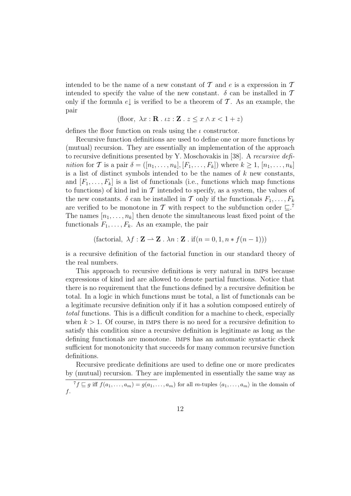intended to be the name of a new constant of  $\mathcal T$  and  $e$  is a expression in  $\mathcal T$ intended to specify the value of the new constant.  $\delta$  can be installed in  $\mathcal T$ only if the formula  $e\downarrow$  is verified to be a theorem of T. As an example, the pair

$$
(\text{floor}, \ \lambda x : \mathbf{R} \cdot \iota z : \mathbf{Z} \cdot z \leq x \land x < 1 + z)
$$

defines the floor function on reals using the  $\iota$  constructor.

Recursive function definitions are used to define one or more functions by (mutual) recursion. They are essentially an implementation of the approach to recursive definitions presented by Y. Moschovakis in [38]. A recursive definition for T is a pair  $\delta = ([n_1, \ldots, n_k], [F_1, \ldots, F_k])$  where  $k \geq 1, [n_1, \ldots, n_k]$ is a list of distinct symbols intended to be the names of  $k$  new constants, and  $[F_1, \ldots, F_k]$  is a list of functionals (i.e., functions which map functions to functions) of kind ind in  $\mathcal T$  intended to specify, as a system, the values of the new constants.  $\delta$  can be installed in T only if the functionals  $F_1, \ldots, F_k$ are verified to be monotone in T with respect to the subfunction order  $\subseteq$ .<sup>7</sup> The names  $[n_1, \ldots, n_k]$  then denote the simultaneous least fixed point of the functionals  $F_1, \ldots, F_k$ . As an example, the pair

(factorial, 
$$
\lambda f : \mathbf{Z} \to \mathbf{Z} \cdot \lambda n : \mathbf{Z} \cdot \text{if}(n = 0, 1, n * f(n - 1)))
$$

is a recursive definition of the factorial function in our standard theory of the real numbers.

This approach to recursive definitions is very natural in imps because expressions of kind ind are allowed to denote partial functions. Notice that there is no requirement that the functions defined by a recursive definition be total. In a logic in which functions must be total, a list of functionals can be a legitimate recursive definition only if it has a solution composed entirely of total functions. This is a difficult condition for a machine to check, especially when  $k > 1$ . Of course, in IMPS there is no need for a recursive definition to satisfy this condition since a recursive definition is legitimate as long as the defining functionals are monotone. imps has an automatic syntactic check sufficient for monotonicity that succeeds for many common recursive function definitions.

Recursive predicate definitions are used to define one or more predicates by (mutual) recursion. They are implemented in essentially the same way as

 ${}^{7}f \sqsubseteq g$  iff  $f(a_1, \ldots, a_m) = g(a_1, \ldots, a_m)$  for all m-tuples  $\langle a_1, \ldots, a_m \rangle$  in the domain of f.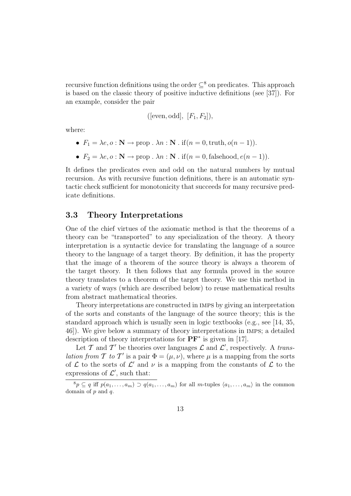recursive function definitions using the order  $\subset^8$  on predicates. This approach is based on the classic theory of positive inductive definitions (see [37]). For an example, consider the pair

([even, odd], 
$$
[F_1, F_2]
$$
),

where:

- $F_1 = \lambda e, o : \mathbf{N} \to \text{prop} \cdot \lambda n : \mathbf{N} \cdot \text{if}(n = 0, \text{truth}, o(n-1)).$
- $F_2 = \lambda e, o : \mathbf{N} \to \text{prop} \cdot \lambda n : \mathbf{N} \cdot \text{if}(n = 0, \text{falsehood}, e(n 1)).$

It defines the predicates even and odd on the natural numbers by mutual recursion. As with recursive function definitions, there is an automatic syntactic check sufficient for monotonicity that succeeds for many recursive predicate definitions.

### 3.3 Theory Interpretations

One of the chief virtues of the axiomatic method is that the theorems of a theory can be "transported" to any specialization of the theory. A theory interpretation is a syntactic device for translating the language of a source theory to the language of a target theory. By definition, it has the property that the image of a theorem of the source theory is always a theorem of the target theory. It then follows that any formula proved in the source theory translates to a theorem of the target theory. We use this method in a variety of ways (which are described below) to reuse mathematical results from abstract mathematical theories.

Theory interpretations are constructed in imps by giving an interpretation of the sorts and constants of the language of the source theory; this is the standard approach which is usually seen in logic textbooks (e.g., see [14, 35, 46]). We give below a summary of theory interpretations in imps; a detailed description of theory interpretations for  $\mathbf{P} \mathbf{F}^*$  is given in [17].

Let T and T' be theories over languages  $\mathcal L$  and  $\mathcal L'$ , respectively. A trans*lation from* T to T' is a pair  $\Phi = (\mu, \nu)$ , where  $\mu$  is a mapping from the sorts of  $\mathcal L$  to the sorts of  $\mathcal L'$  and  $\nu$  is a mapping from the constants of  $\mathcal L$  to the expressions of  $\mathcal{L}'$ , such that:

 $\frac{s_p \subseteq q \text{ iff } p(a_1, \ldots, a_m) \supset q(a_1, \ldots, a_m)$  for all m-tuples  $\langle a_1, \ldots, a_m \rangle$  in the common domain of  $p$  and  $q$ .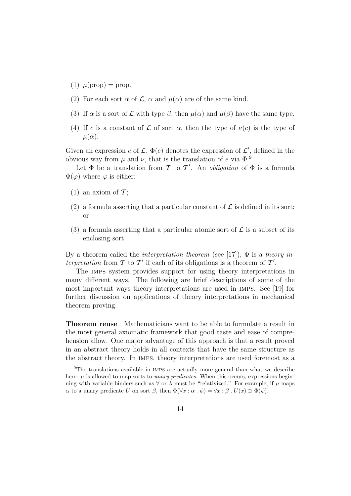- (1)  $\mu$ (prop) = prop.
- (2) For each sort  $\alpha$  of  $\mathcal{L}$ ,  $\alpha$  and  $\mu(\alpha)$  are of the same kind.
- (3) If  $\alpha$  is a sort of  $\mathcal L$  with type  $\beta$ , then  $\mu(\alpha)$  and  $\mu(\beta)$  have the same type.
- (4) If c is a constant of  $\mathcal L$  of sort  $\alpha$ , then the type of  $\nu(c)$  is the type of  $\mu(\alpha)$ .

Given an expression e of  $\mathcal{L}, \Phi(e)$  denotes the expression of  $\mathcal{L}',$  defined in the obvious way from  $\mu$  and  $\nu$ , that is the translation of e via  $\Phi$ <sup>9</sup>.

Let  $\Phi$  be a translation from  $\mathcal T$  to  $\mathcal T'$ . An *obligation* of  $\Phi$  is a formula  $\Phi(\varphi)$  where  $\varphi$  is either:

- (1) an axiom of  $\mathcal{T}$ ;
- (2) a formula asserting that a particular constant of  $\mathcal L$  is defined in its sort; or
- (3) a formula asserting that a particular atomic sort of  $\mathcal L$  is a subset of its enclosing sort.

By a theorem called the *interpretation theorem* (see [17]),  $\Phi$  is a *theory in*terpretation from  $\mathcal T$  to  $\mathcal T'$  if each of its obligations is a theorem of  $\mathcal T'$ .

The imps system provides support for using theory interpretations in many different ways. The following are brief descriptions of some of the most important ways theory interpretations are used in imps. See [19] for further discussion on applications of theory interpretations in mechanical theorem proving.

Theorem reuse Mathematicians want to be able to formulate a result in the most general axiomatic framework that good taste and ease of comprehension allow. One major advantage of this approach is that a result proved in an abstract theory holds in all contexts that have the same structure as the abstract theory. In imps, theory interpretations are used foremost as a

<sup>&</sup>lt;sup>9</sup>The translations available in IMPS are actually more general than what we describe here:  $\mu$  is allowed to map sorts to *unary predicates*. When this occurs, expressions beginning with variable binders such as  $\forall$  or  $\lambda$  must be "relativized." For example, if  $\mu$  maps  $\alpha$  to a unary predicate U on sort  $\beta$ , then  $\Phi(\forall x : \alpha \cdot \psi) = \forall x : \beta \cdot U(x) \supset \Phi(\psi)$ .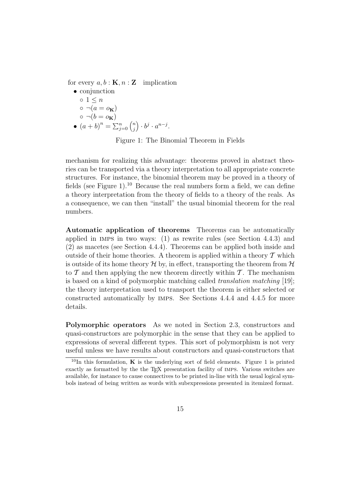for every  $a, b : \mathbf{K}, n : \mathbf{Z}$  implication

\n- conjunction
\n- $$
0 \leq n
$$
\n- $0 \neg(a = o_K)$
\n- $0 \neg(b = o_K)$
\n- $(a + b)^n = \sum_{j=0}^n \binom{n}{j} \cdot b^j \cdot a^{n-j}$
\n

Figure 1: The Binomial Theorem in Fields

mechanism for realizing this advantage: theorems proved in abstract theories can be transported via a theory interpretation to all appropriate concrete structures. For instance, the binomial theorem may be proved in a theory of fields (see Figure 1).<sup>10</sup> Because the real numbers form a field, we can define a theory interpretation from the theory of fields to a theory of the reals. As a consequence, we can then "install" the usual binomial theorem for the real numbers.

Automatic application of theorems Theorems can be automatically applied in imps in two ways: (1) as rewrite rules (see Section 4.4.3) and (2) as macetes (see Section 4.4.4). Theorems can be applied both inside and outside of their home theories. A theorem is applied within a theory  $\mathcal T$  which is outside of its home theory  $\mathcal H$  by, in effect, transporting the theorem from  $\mathcal H$ to  $\mathcal T$  and then applying the new theorem directly within  $\mathcal T$ . The mechanism is based on a kind of polymorphic matching called translation matching [19]; the theory interpretation used to transport the theorem is either selected or constructed automatically by imps. See Sections 4.4.4 and 4.4.5 for more details.

Polymorphic operators As we noted in Section 2.3, constructors and quasi-constructors are polymorphic in the sense that they can be applied to expressions of several different types. This sort of polymorphism is not very useful unless we have results about constructors and quasi-constructors that

 $10$ In this formulation, **K** is the underlying sort of field elements. Figure 1 is printed exactly as formatted by the the TEX presentation facility of IMPS. Various switches are available, for instance to cause connectives to be printed in-line with the usual logical symbols instead of being written as words with subexpressions presented in itemized format.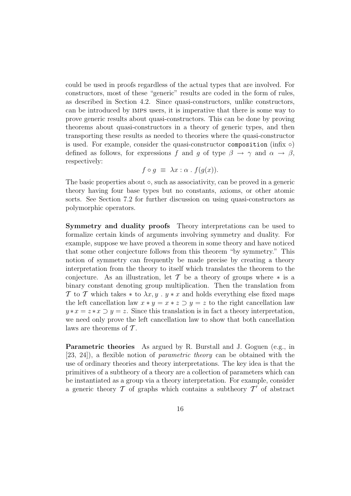could be used in proofs regardless of the actual types that are involved. For constructors, most of these "generic" results are coded in the form of rules, as described in Section 4.2. Since quasi-constructors, unlike constructors, can be introduced by imps users, it is imperative that there is some way to prove generic results about quasi-constructors. This can be done by proving theorems about quasi-constructors in a theory of generic types, and then transporting these results as needed to theories where the quasi-constructor is used. For example, consider the quasi-constructor composition (infix  $\circ$ ) defined as follows, for expressions f and g of type  $\beta \rightarrow \gamma$  and  $\alpha \rightarrow \beta$ , respectively:

$$
f \circ g \equiv \lambda x : \alpha \cdot f(g(x)).
$$

The basic properties about  $\circ$ , such as associativity, can be proved in a generic theory having four base types but no constants, axioms, or other atomic sorts. See Section 7.2 for further discussion on using quasi-constructors as polymorphic operators.

Symmetry and duality proofs Theory interpretations can be used to formalize certain kinds of arguments involving symmetry and duality. For example, suppose we have proved a theorem in some theory and have noticed that some other conjecture follows from this theorem "by symmetry." This notion of symmetry can frequently be made precise by creating a theory interpretation from the theory to itself which translates the theorem to the conjecture. As an illustration, let T be a theory of groups where  $*$  is a binary constant denoting group multiplication. Then the translation from T to T which takes \* to  $\lambda x, y \cdot y \cdot x$  and holds everything else fixed maps the left cancellation law  $x * y = x * z \supseteq y = z$  to the right cancellation law  $y * x = z * x \supset y = z$ . Since this translation is in fact a theory interpretation, we need only prove the left cancellation law to show that both cancellation laws are theorems of  $\mathcal T$ .

Parametric theories As argued by R. Burstall and J. Goguen (e.g., in [23, 24]), a flexible notion of parametric theory can be obtained with the use of ordinary theories and theory interpretations. The key idea is that the primitives of a subtheory of a theory are a collection of parameters which can be instantiated as a group via a theory interpretation. For example, consider a generic theory  $\mathcal T$  of graphs which contains a subtheory  $\mathcal T'$  of abstract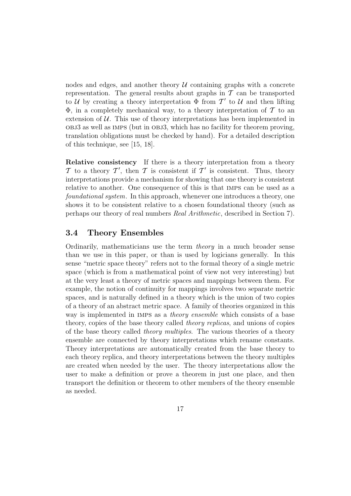nodes and edges, and another theory  $\mathcal U$  containing graphs with a concrete representation. The general results about graphs in  $\mathcal T$  can be transported to U by creating a theory interpretation  $\Phi$  from T' to U and then lifting  $\Phi$ , in a completely mechanical way, to a theory interpretation of  $\mathcal T$  to an extension of  $U$ . This use of theory interpretations has been implemented in obj3 as well as imps (but in obj3, which has no facility for theorem proving, translation obligations must be checked by hand). For a detailed description of this technique, see [15, 18].

Relative consistency If there is a theory interpretation from a theory T to a theory  $\mathcal{T}'$ , then T is consistent if  $\mathcal{T}'$  is consistent. Thus, theory interpretations provide a mechanism for showing that one theory is consistent relative to another. One consequence of this is that imps can be used as a foundational system. In this approach, whenever one introduces a theory, one shows it to be consistent relative to a chosen foundational theory (such as perhaps our theory of real numbers Real Arithmetic, described in Section 7).

### 3.4 Theory Ensembles

Ordinarily, mathematicians use the term theory in a much broader sense than we use in this paper, or than is used by logicians generally. In this sense "metric space theory" refers not to the formal theory of a single metric space (which is from a mathematical point of view not very interesting) but at the very least a theory of metric spaces and mappings between them. For example, the notion of continuity for mappings involves two separate metric spaces, and is naturally defined in a theory which is the union of two copies of a theory of an abstract metric space. A family of theories organized in this way is implemented in imps as a theory ensemble which consists of a base theory, copies of the base theory called theory replicas, and unions of copies of the base theory called theory multiples. The various theories of a theory ensemble are connected by theory interpretations which rename constants. Theory interpretations are automatically created from the base theory to each theory replica, and theory interpretations between the theory multiples are created when needed by the user. The theory interpretations allow the user to make a definition or prove a theorem in just one place, and then transport the definition or theorem to other members of the theory ensemble as needed.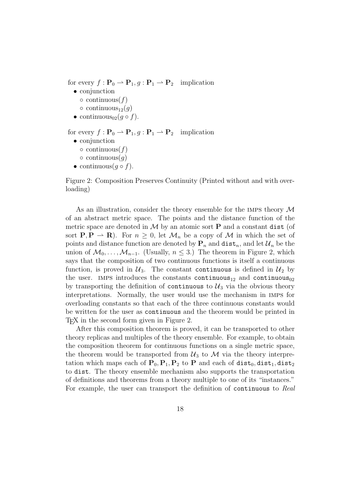for every  $f : \mathbf{P}_0 \to \mathbf{P}_1, g : \mathbf{P}_1 \to \mathbf{P}_2$  implication

- conjunction
	- $\circ$  continuous $(f)$
	- $\circ$  continuous<sub>12</sub> $(q)$
- continuous<sub>02</sub> $(g \circ f)$ .

for every  $f : \mathbf{P}_0 \to \mathbf{P}_1, g : \mathbf{P}_1 \to \mathbf{P}_2$  implication

- conjunction
	- $\circ$  continuous $(f)$
	- $\circ$  continuous(q)
- continuous $(q \circ f)$ .

Figure 2: Composition Preserves Continuity (Printed without and with overloading)

As an illustration, consider the theory ensemble for the IMPS theory  $\mathcal M$ of an abstract metric space. The points and the distance function of the metric space are denoted in  $\mathcal M$  by an atomic sort **P** and a constant dist (of sort  $P, P \rightharpoonup R$ ). For  $n \geq 0$ , let  $\mathcal{M}_n$  be a copy of  $\mathcal M$  in which the set of points and distance function are denoted by  $P_n$  and  $dist_n$ , and let  $\mathcal{U}_n$  be the union of  $M_0, \ldots, M_{n-1}$ . (Usually,  $n \leq 3$ .) The theorem in Figure 2, which says that the composition of two continuous functions is itself a continuous function, is proved in  $\mathcal{U}_3$ . The constant continuous is defined in  $\mathcal{U}_2$  by the user. IMPS introduces the constants continuous<sub>12</sub> and continuous<sub>02</sub> by transporting the definition of continuous to  $\mathcal{U}_3$  via the obvious theory interpretations. Normally, the user would use the mechanism in imps for overloading constants so that each of the three continuous constants would be written for the user as continuous and the theorem would be printed in T<sub>EX</sub> in the second form given in Figure 2.

After this composition theorem is proved, it can be transported to other theory replicas and multiples of the theory ensemble. For example, to obtain the composition theorem for continuous functions on a single metric space, the theorem would be transported from  $\mathcal{U}_3$  to M via the theory interpretation which maps each of  $\mathbf{P}_0$ ,  $\mathbf{P}_1$ ,  $\mathbf{P}_2$  to  $\mathbf{P}$  and each of dist<sub>0</sub>, dist<sub>1</sub>, dist<sub>2</sub> to dist. The theory ensemble mechanism also supports the transportation of definitions and theorems from a theory multiple to one of its "instances." For example, the user can transport the definition of continuous to Real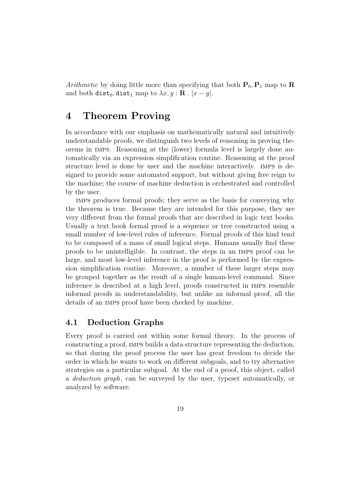Arithmetic by doing little more than specifying that both  $P_0$ ,  $P_1$  map to R and both dist<sub>0</sub>, dist<sub>1</sub> map to  $\lambda x, y : \mathbf{R} \cdot |x - y|$ .

## 4 Theorem Proving

In accordance with our emphasis on mathematically natural and intuitively understandable proofs, we distinguish two levels of reasoning in proving theorems in imps. Reasoning at the (lower) formula level is largely done automatically via an expression simplification routine. Reasoning at the proof structure level is done by user and the machine interactively. imps is designed to provide some automated support, but without giving free reign to the machine; the course of machine deduction is orchestrated and controlled by the user.

imps produces formal proofs; they serve as the basis for conveying why the theorem is true. Because they are intended for this purpose, they are very different from the formal proofs that are described in logic text books. Usually a text book formal proof is a sequence or tree constructed using a small number of low-level rules of inference. Formal proofs of this kind tend to be composed of a mass of small logical steps. Humans usually find these proofs to be unintelligible. In contrast, the steps in an imps proof can be large, and most low-level inference in the proof is performed by the expression simplification routine. Moreover, a number of these larger steps may be grouped together as the result of a single human-level command. Since inference is described at a high level, proofs constructed in imps resemble informal proofs in understandability, but unlike an informal proof, all the details of an imps proof have been checked by machine.

### 4.1 Deduction Graphs

Every proof is carried out within some formal theory. In the process of constructing a proof, imps builds a data structure representing the deduction, so that during the proof process the user has great freedom to decide the order in which he wants to work on different subgoals, and to try alternative strategies on a particular subgoal. At the end of a proof, this object, called a deduction graph, can be surveyed by the user, typeset automatically, or analyzed by software.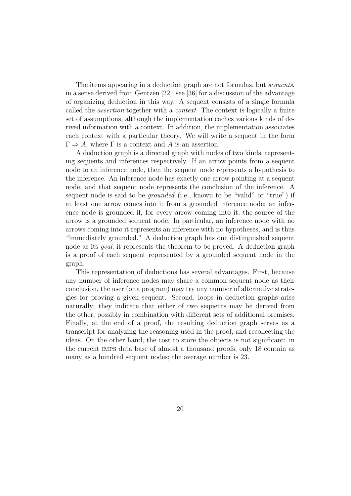The items appearing in a deduction graph are not formulas, but *sequents*, in a sense derived from Gentzen [22]; see [36] for a discussion of the advantage of organizing deduction in this way. A sequent consists of a single formula called the assertion together with a context. The context is logically a finite set of assumptions, although the implementation caches various kinds of derived information with a context. In addition, the implementation associates each context with a particular theory. We will write a sequent in the form  $\Gamma \Rightarrow A$ , where  $\Gamma$  is a context and A is an assertion.

A deduction graph is a directed graph with nodes of two kinds, representing sequents and inferences respectively. If an arrow points from a sequent node to an inference node, then the sequent node represents a hypothesis to the inference. An inference node has exactly one arrow pointing at a sequent node, and that sequent node represents the conclusion of the inference. A sequent node is said to be *grounded* (i.e., known to be "valid" or "true") if at least one arrow comes into it from a grounded inference node; an inference node is grounded if, for every arrow coming into it, the source of the arrow is a grounded sequent node. In particular, an inference node with no arrows coming into it represents an inference with no hypotheses, and is thus "immediately grounded." A deduction graph has one distinguished sequent node as its *goal*; it represents the theorem to be proved. A deduction graph is a proof of each sequent represented by a grounded sequent node in the graph.

This representation of deductions has several advantages. First, because any number of inference nodes may share a common sequent node as their conclusion, the user (or a program) may try any number of alternative strategies for proving a given sequent. Second, loops in deduction graphs arise naturally; they indicate that either of two sequents may be derived from the other, possibly in combination with different sets of additional premises. Finally, at the end of a proof, the resulting deduction graph serves as a transcript for analyzing the reasoning used in the proof, and recollecting the ideas. On the other hand, the cost to store the objects is not significant: in the current imps data base of almost a thousand proofs, only 18 contain as many as a hundred sequent nodes; the average number is 23.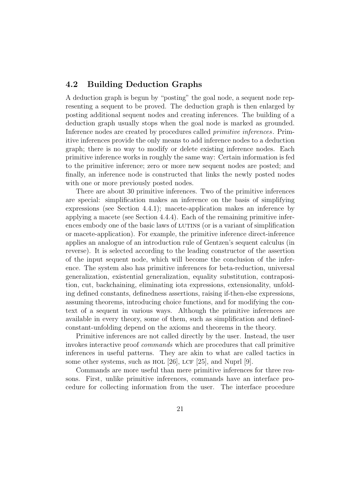## 4.2 Building Deduction Graphs

A deduction graph is begun by "posting" the goal node, a sequent node representing a sequent to be proved. The deduction graph is then enlarged by posting additional sequent nodes and creating inferences. The building of a deduction graph usually stops when the goal node is marked as grounded. Inference nodes are created by procedures called primitive inferences. Primitive inferences provide the only means to add inference nodes to a deduction graph; there is no way to modify or delete existing inference nodes. Each primitive inference works in roughly the same way: Certain information is fed to the primitive inference; zero or more new sequent nodes are posted; and finally, an inference node is constructed that links the newly posted nodes with one or more previously posted nodes.

There are about 30 primitive inferences. Two of the primitive inferences are special: simplification makes an inference on the basis of simplifying expressions (see Section 4.4.1); macete-application makes an inference by applying a macete (see Section 4.4.4). Each of the remaining primitive inferences embody one of the basic laws of LUTINS (or is a variant of simplification or macete-application). For example, the primitive inference direct-inference applies an analogue of an introduction rule of Gentzen's sequent calculus (in reverse). It is selected according to the leading constructor of the assertion of the input sequent node, which will become the conclusion of the inference. The system also has primitive inferences for beta-reduction, universal generalization, existential generalization, equality substitution, contraposition, cut, backchaining, eliminating iota expressions, extensionality, unfolding defined constants, definedness assertions, raising if-then-else expressions, assuming theorems, introducing choice functions, and for modifying the context of a sequent in various ways. Although the primitive inferences are available in every theory, some of them, such as simplification and definedconstant-unfolding depend on the axioms and theorems in the theory.

Primitive inferences are not called directly by the user. Instead, the user invokes interactive proof commands which are procedures that call primitive inferences in useful patterns. They are akin to what are called tactics in some other systems, such as HOL  $[26]$ , LCF  $[25]$ , and Nuprl  $[9]$ .

Commands are more useful than mere primitive inferences for three reasons. First, unlike primitive inferences, commands have an interface procedure for collecting information from the user. The interface procedure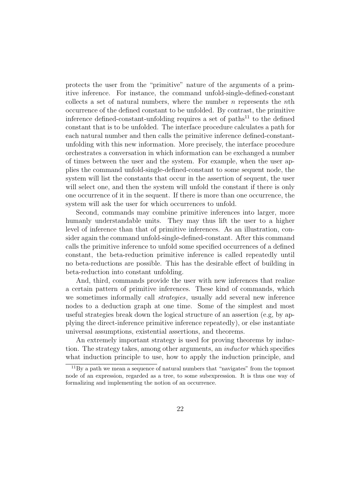protects the user from the "primitive" nature of the arguments of a primitive inference. For instance, the command unfold-single-defined-constant collects a set of natural numbers, where the number  $n$  represents the  $n$ th occurrence of the defined constant to be unfolded. By contrast, the primitive inference defined-constant-unfolding requires a set of paths $^{11}$  to the defined constant that is to be unfolded. The interface procedure calculates a path for each natural number and then calls the primitive inference defined-constantunfolding with this new information. More precisely, the interface procedure orchestrates a conversation in which information can be exchanged a number of times between the user and the system. For example, when the user applies the command unfold-single-defined-constant to some sequent node, the system will list the constants that occur in the assertion of sequent, the user will select one, and then the system will unfold the constant if there is only one occurrence of it in the sequent. If there is more than one occurrence, the system will ask the user for which occurrences to unfold.

Second, commands may combine primitive inferences into larger, more humanly understandable units. They may thus lift the user to a higher level of inference than that of primitive inferences. As an illustration, consider again the command unfold-single-defined-constant. After this command calls the primitive inference to unfold some specified occurrences of a defined constant, the beta-reduction primitive inference is called repeatedly until no beta-reductions are possible. This has the desirable effect of building in beta-reduction into constant unfolding.

And, third, commands provide the user with new inferences that realize a certain pattern of primitive inferences. These kind of commands, which we sometimes informally call strategies, usually add several new inference nodes to a deduction graph at one time. Some of the simplest and most useful strategies break down the logical structure of an assertion (e.g, by applying the direct-inference primitive inference repeatedly), or else instantiate universal assumptions, existential assertions, and theorems.

An extremely important strategy is used for proving theorems by induction. The strategy takes, among other arguments, an *inductor* which specifies what induction principle to use, how to apply the induction principle, and

<sup>11</sup>By a path we mean a sequence of natural numbers that "navigates" from the topmost node of an expression, regarded as a tree, to some subexpression. It is thus one way of formalizing and implementing the notion of an occurrence.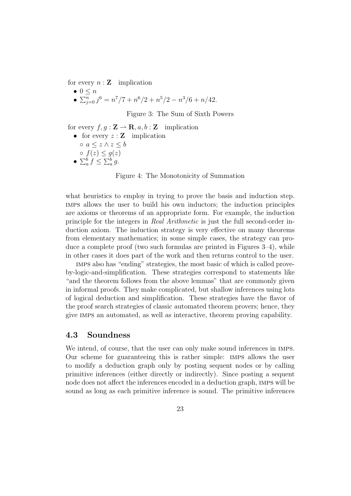for every  $n : \mathbf{Z}$  implication

- $\bullet$  0  $\leq$  n
- $\sum_{j=0}^{n} j^6 = n^7/7 + n^6/2 + n^5/2 n^3/6 + n/42.$

Figure 3: The Sum of Sixth Powers

for every  $f, q : \mathbf{Z} \to \mathbf{R}, a, b : \mathbf{Z}$  implication

- for every  $z : \mathbf{Z}$  implication
	- $\circ \ a \leq z \land z \leq b$
	- $\circ$   $f(z) \leq g(z)$
- $\sum_a^b f \leq \sum_a^b g$ .

Figure 4: The Monotonicity of Summation

what heuristics to employ in trying to prove the basis and induction step. imps allows the user to build his own inductors; the induction principles are axioms or theorems of an appropriate form. For example, the induction principle for the integers in Real Arithmetic is just the full second-order induction axiom. The induction strategy is very effective on many theorems from elementary mathematics; in some simple cases, the strategy can produce a complete proof (two such formulas are printed in Figures 3–4), while in other cases it does part of the work and then returns control to the user.

imps also has "ending" strategies, the most basic of which is called proveby-logic-and-simplification. These strategies correspond to statements like "and the theorem follows from the above lemmas" that are commonly given in informal proofs. They make complicated, but shallow inferences using lots of logical deduction and simplification. These strategies have the flavor of the proof search strategies of classic automated theorem provers; hence, they give imps an automated, as well as interactive, theorem proving capability.

### 4.3 Soundness

We intend, of course, that the user can only make sound inferences in imps. Our scheme for guaranteeing this is rather simple: IMPS allows the user to modify a deduction graph only by posting sequent nodes or by calling primitive inferences (either directly or indirectly). Since posting a sequent node does not affect the inferences encoded in a deduction graph, imps will be sound as long as each primitive inference is sound. The primitive inferences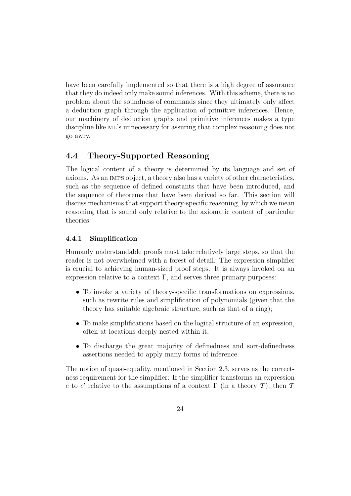have been carefully implemented so that there is a high degree of assurance that they do indeed only make sound inferences. With this scheme, there is no problem about the soundness of commands since they ultimately only affect a deduction graph through the application of primitive inferences. Hence, our machinery of deduction graphs and primitive inferences makes a type discipline like ml's unnecessary for assuring that complex reasoning does not go awry.

## 4.4 Theory-Supported Reasoning

The logical content of a theory is determined by its language and set of axioms. As an imps object, a theory also has a variety of other characteristics, such as the sequence of defined constants that have been introduced, and the sequence of theorems that have been derived so far. This section will discuss mechanisms that support theory-specific reasoning, by which we mean reasoning that is sound only relative to the axiomatic content of particular theories.

### 4.4.1 Simplification

Humanly understandable proofs must take relatively large steps, so that the reader is not overwhelmed with a forest of detail. The expression simplifier is crucial to achieving human-sized proof steps. It is always invoked on an expression relative to a context  $\Gamma$ , and serves three primary purposes:

- To invoke a variety of theory-specific transformations on expressions, such as rewrite rules and simplification of polynomials (given that the theory has suitable algebraic structure, such as that of a ring);
- To make simplifications based on the logical structure of an expression, often at locations deeply nested within it;
- To discharge the great majority of definedness and sort-definedness assertions needed to apply many forms of inference.

The notion of quasi-equality, mentioned in Section 2.3, serves as the correctness requirement for the simplifier: If the simplifier transforms an expression e to e' relative to the assumptions of a context  $\Gamma$  (in a theory  $\mathcal{T}$ ), then  $\mathcal{I}$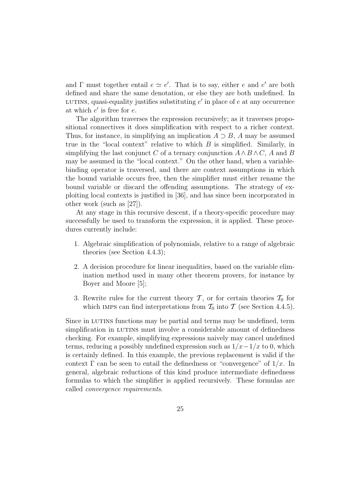and  $\Gamma$  must together entail  $e \simeq e'$ . That is to say, either e and  $e'$  are both defined and share the same denotation, or else they are both undefined. In LUTINS, quasi-equality justifies substituting  $e'$  in place of  $e$  at any occurrence at which  $e'$  is free for  $e$ .

The algorithm traverses the expression recursively; as it traverses propositional connectives it does simplification with respect to a richer context. Thus, for instance, in simplifying an implication  $A \supset B$ , A may be assumed true in the "local context" relative to which  $B$  is simplified. Similarly, in simplifying the last conjunct C of a ternary conjunction  $A \wedge B \wedge C$ , A and B may be assumed in the "local context." On the other hand, when a variablebinding operator is traversed, and there are context assumptions in which the bound variable occurs free, then the simplifier must either rename the bound variable or discard the offending assumptions. The strategy of exploiting local contexts is justified in [36], and has since been incorporated in other work (such as [27]).

At any stage in this recursive descent, if a theory-specific procedure may successfully be used to transform the expression, it is applied. These procedures currently include:

- 1. Algebraic simplification of polynomials, relative to a range of algebraic theories (see Section 4.4.3);
- 2. A decision procedure for linear inequalities, based on the variable elimination method used in many other theorem provers, for instance by Boyer and Moore [5];
- 3. Rewrite rules for the current theory  $\mathcal{T}$ , or for certain theories  $\mathcal{T}_0$  for which IMPS can find interpretations from  $\mathcal{T}_0$  into T (see Section 4.4.5).

Since in LUTINS functions may be partial and terms may be undefined, term simplification in LUTINS must involve a considerable amount of definedness checking. For example, simplifying expressions naively may cancel undefined terms, reducing a possibly undefined expression such as  $1/x-1/x$  to 0, which is certainly defined. In this example, the previous replacement is valid if the context  $\Gamma$  can be seen to entail the definedness or "convergence" of  $1/x$ . In general, algebraic reductions of this kind produce intermediate definedness formulas to which the simplifier is applied recursively. These formulas are called convergence requirements.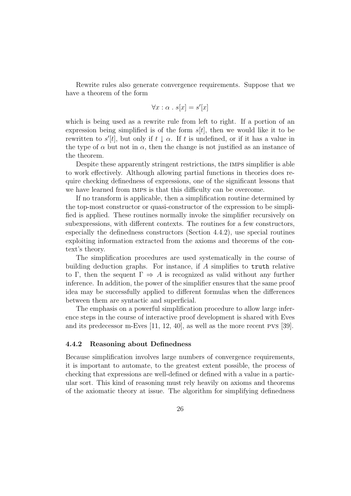Rewrite rules also generate convergence requirements. Suppose that we have a theorem of the form

$$
\forall x : \alpha \cdot s[x] = s'[x]
$$

which is being used as a rewrite rule from left to right. If a portion of an expression being simplified is of the form  $s[t]$ , then we would like it to be rewritten to  $s'[t]$ , but only if  $t \downarrow \alpha$ . If t is undefined, or if it has a value in the type of  $\alpha$  but not in  $\alpha$ , then the change is not justified as an instance of the theorem.

Despite these apparently stringent restrictions, the imps simplifier is able to work effectively. Although allowing partial functions in theories does require checking definedness of expressions, one of the significant lessons that we have learned from imps is that this difficulty can be overcome.

If no transform is applicable, then a simplification routine determined by the top-most constructor or quasi-constructor of the expression to be simplified is applied. These routines normally invoke the simplifier recursively on subexpressions, with different contexts. The routines for a few constructors, especially the definedness constructors (Section 4.4.2), use special routines exploiting information extracted from the axioms and theorems of the context's theory.

The simplification procedures are used systematically in the course of building deduction graphs. For instance, if A simplifies to truth relative to Γ, then the sequent  $\Gamma \Rightarrow A$  is recognized as valid without any further inference. In addition, the power of the simplifier ensures that the same proof idea may be successfully applied to different formulas when the differences between them are syntactic and superficial.

The emphasis on a powerful simplification procedure to allow large inference steps in the course of interactive proof development is shared with Eves and its predecessor m-Eves [11, 12, 40], as well as the more recent pvs [39].

#### 4.4.2 Reasoning about Definedness

Because simplification involves large numbers of convergence requirements, it is important to automate, to the greatest extent possible, the process of checking that expressions are well-defined or defined with a value in a particular sort. This kind of reasoning must rely heavily on axioms and theorems of the axiomatic theory at issue. The algorithm for simplifying definedness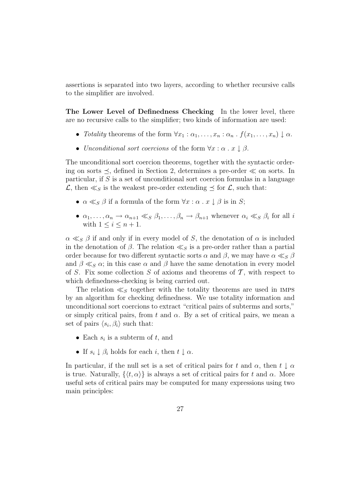assertions is separated into two layers, according to whether recursive calls to the simplifier are involved.

The Lower Level of Definedness Checking In the lower level, there are no recursive calls to the simplifier; two kinds of information are used:

- Totality theorems of the form  $\forall x_1 : \alpha_1, \ldots, x_n : \alpha_n : f(x_1, \ldots, x_n) \downarrow \alpha$ .
- Unconditional sort coercions of the form  $\forall x : \alpha \cdot x \downarrow \beta$ .

The unconditional sort coercion theorems, together with the syntactic ordering on sorts  $\preceq$ , defined in Section 2, determines a pre-order  $\ll$  on sorts. In particular, if  $S$  is a set of unconditional sort coercion formulas in a language  $\mathcal{L}$ , then  $\ll_S$  is the weakest pre-order extending  $\preceq$  for  $\mathcal{L}$ , such that:

- $\alpha \ll_{S} \beta$  if a formula of the form  $\forall x : \alpha \cdot x \downarrow \beta$  is in S;
- $\alpha_1, \ldots, \alpha_n \to \alpha_{n+1} \ll_S \beta_1, \ldots, \beta_n \to \beta_{n+1}$  whenever  $\alpha_i \ll_S \beta_i$  for all i with  $1 \leq i \leq n+1$ .

 $\alpha \ll_{S} \beta$  if and only if in every model of S, the denotation of  $\alpha$  is included in the denotation of  $\beta$ . The relation  $\ll_S$  is a pre-order rather than a partial order because for two different syntactic sorts  $\alpha$  and  $\beta$ , we may have  $\alpha \ll_{S} \beta$ and  $\beta \ll_S \alpha$ ; in this case  $\alpha$  and  $\beta$  have the same denotation in every model of S. Fix some collection S of axioms and theorems of  $\mathcal T$ , with respect to which definedness-checking is being carried out.

The relation  $\ll_S$  together with the totality theorems are used in IMPS by an algorithm for checking definedness. We use totality information and unconditional sort coercions to extract "critical pairs of subterms and sorts," or simply critical pairs, from t and  $\alpha$ . By a set of critical pairs, we mean a set of pairs  $\langle s_i, \beta_i \rangle$  such that:

- Each  $s_i$  is a subterm of t, and
- If  $s_i \downarrow \beta_i$  holds for each i, then  $t \downarrow \alpha$ .

In particular, if the null set is a set of critical pairs for t and  $\alpha$ , then  $t \downarrow \alpha$ is true. Naturally,  $\{\langle t, \alpha \rangle\}$  is always a set of critical pairs for t and  $\alpha$ . More useful sets of critical pairs may be computed for many expressions using two main principles: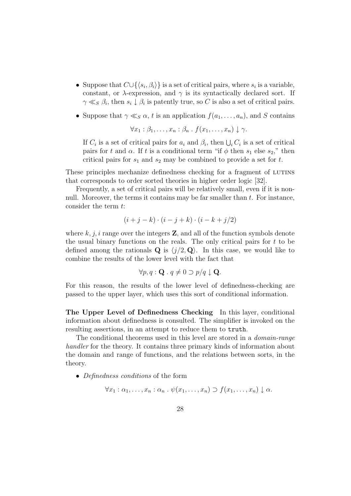- Suppose that  $C \cup \{ \langle s_i, \beta_i \rangle \}$  is a set of critical pairs, where  $s_i$  is a variable, constant, or  $\lambda$ -expression, and  $\gamma$  is its syntactically declared sort. If  $\gamma \ll_{S} \beta_i$ , then  $s_i \downarrow \beta_i$  is patently true, so C is also a set of critical pairs.
- Suppose that  $\gamma \ll_S \alpha$ , t is an application  $f(a_1, \ldots, a_n)$ , and S contains

$$
\forall x_1 : \beta_1, \ldots, x_n : \beta_n \cdot f(x_1, \ldots, x_n) \downarrow \gamma.
$$

If  $C_i$  is a set of critical pairs for  $a_i$  and  $\beta_i$ , then  $\bigcup_i C_i$  is a set of critical pairs for t and  $\alpha$ . If t is a conditional term "if  $\phi$  then  $s_1$  else  $s_2$ ," then critical pairs for  $s_1$  and  $s_2$  may be combined to provide a set for t.

These principles mechanize definedness checking for a fragment of LUTINS that corresponds to order sorted theories in higher order logic [32].

Frequently, a set of critical pairs will be relatively small, even if it is nonnull. Moreover, the terms it contains may be far smaller than  $t$ . For instance, consider the term t:

$$
(i+j-k)\cdot(i-j+k)\cdot(i-k+j/2)
$$

where  $k, j, i$  range over the integers **Z**, and all of the function symbols denote the usual binary functions on the reals. The only critical pairs for  $t$  to be defined among the rationals **Q** is  $\langle j/2, \mathbf{Q} \rangle$ . In this case, we would like to combine the results of the lower level with the fact that

$$
\forall p, q : \mathbf{Q} \, . \, q \neq 0 \supset p/q \downarrow \mathbf{Q}.
$$

For this reason, the results of the lower level of definedness-checking are passed to the upper layer, which uses this sort of conditional information.

The Upper Level of Definedness Checking In this layer, conditional information about definedness is consulted. The simplifier is invoked on the resulting assertions, in an attempt to reduce them to truth.

The conditional theorems used in this level are stored in a domain-range handler for the theory. It contains three primary kinds of information about the domain and range of functions, and the relations between sorts, in the theory.

• Definedness conditions of the form

$$
\forall x_1 : \alpha_1, \ldots, x_n : \alpha_n \cdot \psi(x_1, \ldots, x_n) \supset f(x_1, \ldots, x_n) \downarrow \alpha.
$$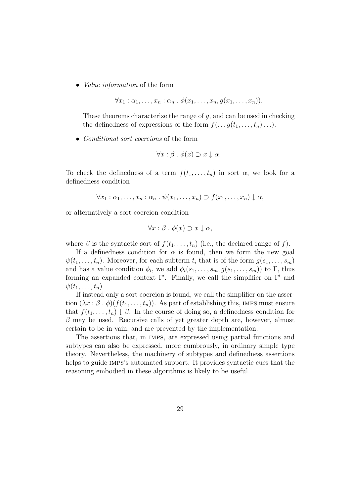• *Value information* of the form

$$
\forall x_1 : \alpha_1, \ldots, x_n : \alpha_n \cdot \phi(x_1, \ldots, x_n, g(x_1, \ldots, x_n)).
$$

These theorems characterize the range of g, and can be used in checking the definedness of expressions of the form  $f(\ldots g(t_1, \ldots, t_n) \ldots)$ .

• *Conditional sort coercions* of the form

$$
\forall x:\beta\ .\ \phi(x)\supset x\downarrow\alpha.
$$

To check the definedness of a term  $f(t_1, \ldots, t_n)$  in sort  $\alpha$ , we look for a definedness condition

$$
\forall x_1 : \alpha_1, \ldots, x_n : \alpha_n \cdot \psi(x_1, \ldots, x_n) \supset f(x_1, \ldots, x_n) \downarrow \alpha,
$$

or alternatively a sort coercion condition

$$
\forall x : \beta \cdot \phi(x) \supset x \downarrow \alpha,
$$

where  $\beta$  is the syntactic sort of  $f(t_1, \ldots, t_n)$  (i.e., the declared range of f).

If a definedness condition for  $\alpha$  is found, then we form the new goal  $\psi(t_1,\ldots,t_n)$ . Moreover, for each subterm  $t_i$  that is of the form  $g(s_1,\ldots,s_m)$ and has a value condition  $\phi_i$ , we add  $\phi_i(s_1,\ldots,s_m,g(s_1,\ldots,s_m))$  to  $\Gamma$ , thus forming an expanded context  $\Gamma'$ . Finally, we call the simplifier on  $\Gamma'$  and  $\psi(t_1,\ldots,t_n).$ 

If instead only a sort coercion is found, we call the simplifier on the assertion  $(\lambda x : \beta \cdot \phi)(f(t_1, \ldots, t_n))$ . As part of establishing this, IMPS must ensure that  $f(t_1, \ldots, t_n) \downarrow \beta$ . In the course of doing so, a definedness condition for  $\beta$  may be used. Recursive calls of yet greater depth are, however, almost certain to be in vain, and are prevented by the implementation.

The assertions that, in imps, are expressed using partial functions and subtypes can also be expressed, more cumbrously, in ordinary simple type theory. Nevertheless, the machinery of subtypes and definedness assertions helps to guide imps's automated support. It provides syntactic cues that the reasoning embodied in these algorithms is likely to be useful.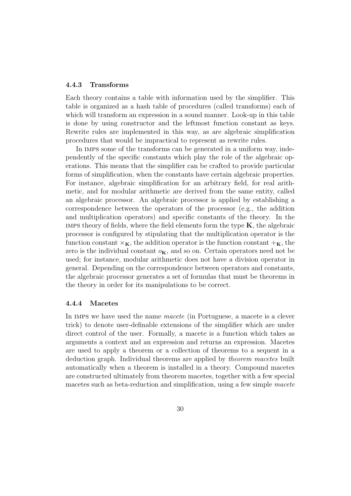#### 4.4.3 Transforms

Each theory contains a table with information used by the simplifier. This table is organized as a hash table of procedures (called transforms) each of which will transform an expression in a sound manner. Look-up in this table is done by using constructor and the leftmost function constant as keys. Rewrite rules are implemented in this way, as are algebraic simplification procedures that would be impractical to represent as rewrite rules.

In IMPS some of the transforms can be generated in a uniform way, independently of the specific constants which play the role of the algebraic operations. This means that the simplifier can be crafted to provide particular forms of simplification, when the constants have certain algebraic properties. For instance, algebraic simplification for an arbitrary field, for real arithmetic, and for modular arithmetic are derived from the same entity, called an algebraic processor. An algebraic processor is applied by establishing a correspondence between the operators of the processor (e.g., the addition and multiplication operators) and specific constants of the theory. In the IMPS theory of fields, where the field elements form the type  $K$ , the algebraic processor is configured by stipulating that the multiplication operator is the function constant  $\times_K$ , the addition operator is the function constant  $+\kappa$ , the zero is the individual constant  $o<sub>K</sub>$ , and so on. Certain operators need not be used; for instance, modular arithmetic does not have a division operator in general. Depending on the correspondence between operators and constants, the algebraic processor generates a set of formulas that must be theorems in the theory in order for its manipulations to be correct.

#### 4.4.4 Macetes

In IMPS we have used the name macete (in Portuguese, a macete is a clever trick) to denote user-definable extensions of the simplifier which are under direct control of the user. Formally, a macete is a function which takes as arguments a context and an expression and returns an expression. Macetes are used to apply a theorem or a collection of theorems to a sequent in a deduction graph. Individual theorems are applied by theorem macetes built automatically when a theorem is installed in a theory. Compound macetes are constructed ultimately from theorem macetes, together with a few special macetes such as beta-reduction and simplification, using a few simple macete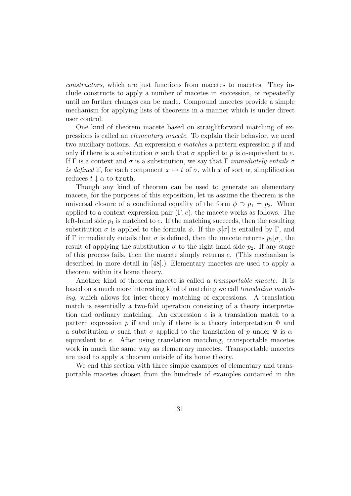constructors, which are just functions from macetes to macetes. They include constructs to apply a number of macetes in succession, or repeatedly until no further changes can be made. Compound macetes provide a simple mechanism for applying lists of theorems in a manner which is under direct user control.

One kind of theorem macete based on straightforward matching of expressions is called an elementary macete. To explain their behavior, we need two auxiliary notions. An expression  $e$  matches a pattern expression  $p$  if and only if there is a substitution  $\sigma$  such that  $\sigma$  applied to p is  $\alpha$ -equivalent to e. If Γ is a context and  $\sigma$  is a substitution, we say that Γ *immediately entails*  $\sigma$ is defined if, for each component  $x \mapsto t$  of  $\sigma$ , with x of sort  $\alpha$ , simplification reduces  $t \perp \alpha$  to truth.

Though any kind of theorem can be used to generate an elementary macete, for the purposes of this exposition, let us assume the theorem is the universal closure of a conditional equality of the form  $\phi \supset p_1 = p_2$ . When applied to a context-expression pair  $(\Gamma, e)$ , the macete works as follows. The left-hand side  $p_1$  is matched to e. If the matching succeeds, then the resulting substitution  $\sigma$  is applied to the formula  $\phi$ . If the  $\phi[\sigma]$  is entailed by Γ, and if Γ immediately entails that  $\sigma$  is defined, then the macete returns  $p_2[\sigma]$ , the result of applying the substitution  $\sigma$  to the right-hand side  $p_2$ . If any stage of this process fails, then the macete simply returns e. (This mechanism is described in more detail in [48].) Elementary macetes are used to apply a theorem within its home theory.

Another kind of theorem macete is called a transportable macete. It is based on a much more interesting kind of matching we call translation matching, which allows for inter-theory matching of expressions. A translation match is essentially a two-fold operation consisting of a theory interpretation and ordinary matching. An expression  $e$  is a translation match to a pattern expression p if and only if there is a theory interpretation  $\Phi$  and a substitution  $\sigma$  such that  $\sigma$  applied to the translation of p under  $\Phi$  is  $\alpha$ equivalent to e. After using translation matching, transportable macetes work in much the same way as elementary macetes. Transportable macetes are used to apply a theorem outside of its home theory.

We end this section with three simple examples of elementary and transportable macetes chosen from the hundreds of examples contained in the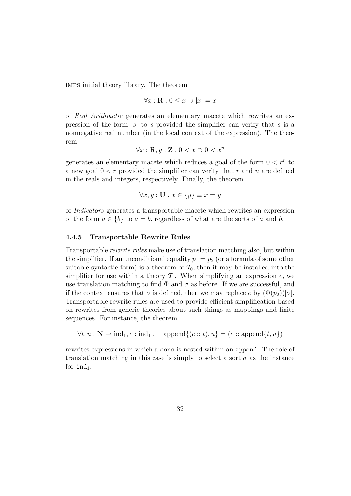imps initial theory library. The theorem

$$
\forall x : \mathbf{R} \cdot 0 \le x \supset |x| = x
$$

of Real Arithmetic generates an elementary macete which rewrites an expression of the form  $|s|$  to s provided the simplifier can verify that s is a nonnegative real number (in the local context of the expression). The theorem

$$
\forall x : \mathbf{R}, y : \mathbf{Z} \cdot 0 < x \supset 0 < x^y
$$

generates an elementary macete which reduces a goal of the form  $0 < r^n$  to a new goal  $0 < r$  provided the simplifier can verify that r and n are defined in the reals and integers, respectively. Finally, the theorem

$$
\forall x, y : \mathbf{U} \cdot x \in \{y\} \equiv x = y
$$

of Indicators generates a transportable macete which rewrites an expression of the form  $a \in \{b\}$  to  $a = b$ , regardless of what are the sorts of a and b.

#### 4.4.5 Transportable Rewrite Rules

Transportable rewrite rules make use of translation matching also, but within the simplifier. If an unconditional equality  $p_1 = p_2$  (or a formula of some other suitable syntactic form) is a theorem of  $\mathcal{T}_0$ , then it may be installed into the simplifier for use within a theory  $\mathcal{T}_1$ . When simplifying an expression e, we use translation matching to find  $\Phi$  and  $\sigma$  as before. If we are successful, and if the context ensures that  $\sigma$  is defined, then we may replace e by  $(\Phi(p_2))[\sigma]$ . Transportable rewrite rules are used to provide efficient simplification based on rewrites from generic theories about such things as mappings and finite sequences. For instance, the theorem

 $\forall t, u : \mathbf{N} \rightarrow \text{ind}_1, e : \text{ind}_1$ . append $\{(e:: t), u\} = (e::\text{append}\{t, u\})$ 

rewrites expressions in which a cons is nested within an append. The role of translation matching in this case is simply to select a sort  $\sigma$  as the instance for  $ind_1$ .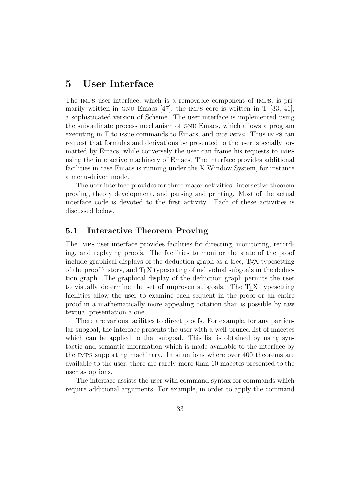## 5 User Interface

The imps user interface, which is a removable component of imps, is primarily written in GNU Emacs  $[47]$ ; the IMPS core is written in T [33, 41], a sophisticated version of Scheme. The user interface is implemented using the subordinate process mechanism of gnu Emacs, which allows a program executing in T to issue commands to Emacs, and vice versa. Thus imps can request that formulas and derivations be presented to the user, specially formatted by Emacs, while conversely the user can frame his requests to imps using the interactive machinery of Emacs. The interface provides additional facilities in case Emacs is running under the X Window System, for instance a menu-driven mode.

The user interface provides for three major activities: interactive theorem proving, theory development, and parsing and printing. Most of the actual interface code is devoted to the first activity. Each of these activities is discussed below.

### 5.1 Interactive Theorem Proving

The imps user interface provides facilities for directing, monitoring, recording, and replaying proofs. The facilities to monitor the state of the proof include graphical displays of the deduction graph as a tree, T<sub>EX</sub> typesetting of the proof history, and TEX typesetting of individual subgoals in the deduction graph. The graphical display of the deduction graph permits the user to visually determine the set of unproven subgoals. The TEX typesetting facilities allow the user to examine each sequent in the proof or an entire proof in a mathematically more appealing notation than is possible by raw textual presentation alone.

There are various facilities to direct proofs. For example, for any particular subgoal, the interface presents the user with a well-pruned list of macetes which can be applied to that subgoal. This list is obtained by using syntactic and semantic information which is made available to the interface by the imps supporting machinery. In situations where over 400 theorems are available to the user, there are rarely more than 10 macetes presented to the user as options.

The interface assists the user with command syntax for commands which require additional arguments. For example, in order to apply the command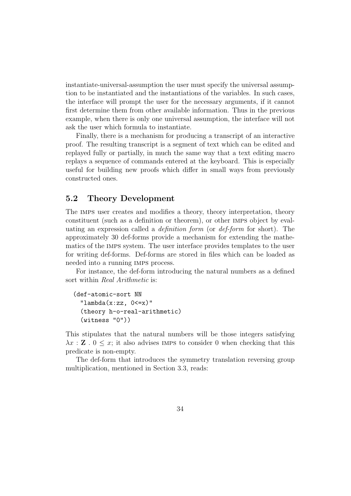instantiate-universal-assumption the user must specify the universal assumption to be instantiated and the instantiations of the variables. In such cases, the interface will prompt the user for the necessary arguments, if it cannot first determine them from other available information. Thus in the previous example, when there is only one universal assumption, the interface will not ask the user which formula to instantiate.

Finally, there is a mechanism for producing a transcript of an interactive proof. The resulting transcript is a segment of text which can be edited and replayed fully or partially, in much the same way that a text editing macro replays a sequence of commands entered at the keyboard. This is especially useful for building new proofs which differ in small ways from previously constructed ones.

## 5.2 Theory Development

The imps user creates and modifies a theory, theory interpretation, theory constituent (such as a definition or theorem), or other imps object by evaluating an expression called a definition form (or def-form for short). The approximately 30 def-forms provide a mechanism for extending the mathematics of the imps system. The user interface provides templates to the user for writing def-forms. Def-forms are stored in files which can be loaded as needed into a running imps process.

For instance, the def-form introducing the natural numbers as a defined sort within Real Arithmetic is:

```
(def-atomic-sort NN
  "lambda(x:zz, 0<=x)"
  (theory h-o-real-arithmetic)
  (witness "0"))
```
This stipulates that the natural numbers will be those integers satisfying  $\lambda x : \mathbf{Z} \cdot 0 \leq x$ ; it also advises IMPS to consider 0 when checking that this predicate is non-empty.

The def-form that introduces the symmetry translation reversing group multiplication, mentioned in Section 3.3, reads: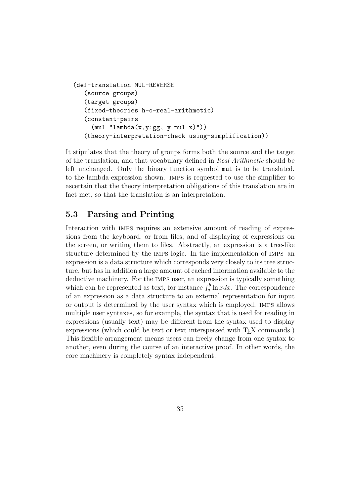```
(def-translation MUL-REVERSE
   (source groups)
   (target groups)
   (fixed-theories h-o-real-arithmetic)
   (constant-pairs
     (mul 'lambda(x,y:gg, y mul x)"))
   (theory-interpretation-check using-simplification))
```
It stipulates that the theory of groups forms both the source and the target of the translation, and that vocabulary defined in Real Arithmetic should be left unchanged. Only the binary function symbol mul is to be translated, to the lambda-expression shown. imps is requested to use the simplifier to ascertain that the theory interpretation obligations of this translation are in fact met, so that the translation is an interpretation.

## 5.3 Parsing and Printing

Interaction with imps requires an extensive amount of reading of expressions from the keyboard, or from files, and of displaying of expressions on the screen, or writing them to files. Abstractly, an expression is a tree-like structure determined by the IMPS logic. In the implementation of IMPS and expression is a data structure which corresponds very closely to its tree structure, but has in addition a large amount of cached information available to the deductive machinery. For the imps user, an expression is typically something which can be represented as text, for instance  $\int_a^b \ln x dx$ . The correspondence of an expression as a data structure to an external representation for input or output is determined by the user syntax which is employed. imps allows multiple user syntaxes, so for example, the syntax that is used for reading in expressions (usually text) may be different from the syntax used to display expressions (which could be text or text interspersed with T<sub>E</sub>X commands.) This flexible arrangement means users can freely change from one syntax to another, even during the course of an interactive proof. In other words, the core machinery is completely syntax independent.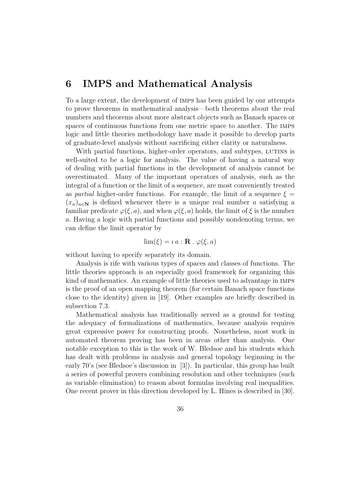## 6 IMPS and Mathematical Analysis

To a large extent, the development of imps has been guided by our attempts to prove theorems in mathematical analysis—both theorems about the real numbers and theorems about more abstract objects such as Banach spaces or spaces of continuous functions from one metric space to another. The imps logic and little theories methodology have made it possible to develop parts of graduate-level analysis without sacrificing either clarity or naturalness.

With partial functions, higher-order operators, and subtypes, LUTINS is well-suited to be a logic for analysis. The value of having a natural way of dealing with partial functions in the development of analysis cannot be overestimated. Many of the important operators of analysis, such as the integral of a function or the limit of a sequence, are most conveniently treated as partial higher-order functions. For example, the limit of a sequence  $\xi =$  $(x_n)_{n\in\mathbb{N}}$  is defined whenever there is a unique real number a satisfying a familiar predicate  $\varphi(\xi, a)$ , and when  $\varphi(\xi, a)$  holds, the limit of  $\xi$  is the number a. Having a logic with partial functions and possibly nondenoting terms, we can define the limit operator by

$$
\lim(\xi) = \iota \, a : \mathbf{R} \cdot \varphi(\xi, a)
$$

without having to specify separately its domain.

Analysis is rife with various types of spaces and classes of functions. The little theories approach is an especially good framework for organizing this kind of mathematics. An example of little theories used to advantage in imps is the proof of an open mapping theorem (for certain Banach space functions close to the identity) given in [19]. Other examples are briefly described in subsection 7.3.

Mathematical analysis has traditionally served as a ground for testing the adequacy of formalizations of mathematics, because analysis requires great expressive power for constructing proofs. Nonetheless, most work in automated theorem proving has been in areas other than analysis. One notable exception to this is the work of W. Bledsoe and his students which has dealt with problems in analysis and general topology beginning in the early 70's (see Bledsoe's discussion in [3]). In particular, this group has built a series of powerful provers combining resolution and other techniques (such as variable elimination) to reason about formulas involving real inequalities. One recent prover in this direction developed by L. Hines is described in [30].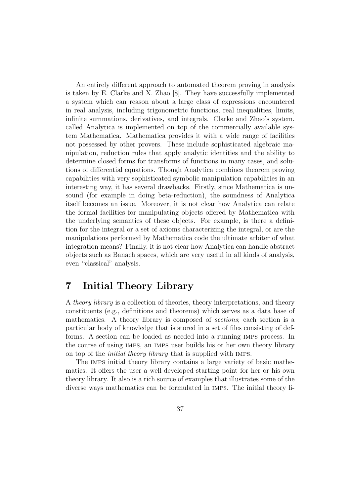An entirely different approach to automated theorem proving in analysis is taken by E. Clarke and X. Zhao [8]. They have successfully implemented a system which can reason about a large class of expressions encountered in real analysis, including trigonometric functions, real inequalities, limits, infinite summations, derivatives, and integrals. Clarke and Zhao's system, called Analytica is implemented on top of the commercially available system Mathematica. Mathematica provides it with a wide range of facilities not possessed by other provers. These include sophisticated algebraic manipulation, reduction rules that apply analytic identities and the ability to determine closed forms for transforms of functions in many cases, and solutions of differential equations. Though Analytica combines theorem proving capabilities with very sophisticated symbolic manipulation capabilities in an interesting way, it has several drawbacks. Firstly, since Mathematica is unsound (for example in doing beta-reduction), the soundness of Analytica itself becomes an issue. Moreover, it is not clear how Analytica can relate the formal facilities for manipulating objects offered by Mathematica with the underlying semantics of these objects. For example, is there a definition for the integral or a set of axioms characterizing the integral, or are the manipulations performed by Mathematica code the ultimate arbiter of what integration means? Finally, it is not clear how Analytica can handle abstract objects such as Banach spaces, which are very useful in all kinds of analysis, even "classical" analysis.

## 7 Initial Theory Library

A theory library is a collection of theories, theory interpretations, and theory constituents (e.g., definitions and theorems) which serves as a data base of mathematics. A theory library is composed of sections; each section is a particular body of knowledge that is stored in a set of files consisting of defforms. A section can be loaded as needed into a running imps process. In the course of using imps, an imps user builds his or her own theory library on top of the initial theory library that is supplied with imps.

The IMPS initial theory library contains a large variety of basic mathematics. It offers the user a well-developed starting point for her or his own theory library. It also is a rich source of examples that illustrates some of the diverse ways mathematics can be formulated in imps. The initial theory li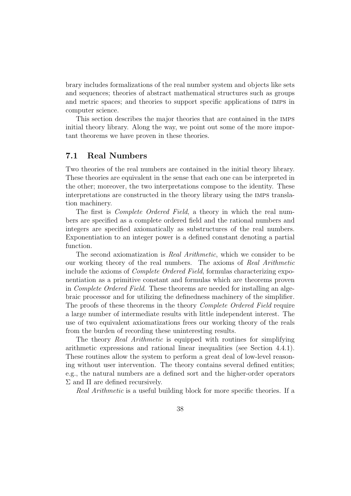brary includes formalizations of the real number system and objects like sets and sequences; theories of abstract mathematical structures such as groups and metric spaces; and theories to support specific applications of imps in computer science.

This section describes the major theories that are contained in the imps initial theory library. Along the way, we point out some of the more important theorems we have proven in these theories.

## 7.1 Real Numbers

Two theories of the real numbers are contained in the initial theory library. These theories are equivalent in the sense that each one can be interpreted in the other; moreover, the two interpretations compose to the identity. These interpretations are constructed in the theory library using the imps translation machinery.

The first is *Complete Ordered Field*, a theory in which the real numbers are specified as a complete ordered field and the rational numbers and integers are specified axiomatically as substructures of the real numbers. Exponentiation to an integer power is a defined constant denoting a partial function.

The second axiomatization is Real Arithmetic, which we consider to be our working theory of the real numbers. The axioms of Real Arithmetic include the axioms of Complete Ordered Field, formulas characterizing exponentiation as a primitive constant and formulas which are theorems proven in Complete Ordered Field. These theorems are needed for installing an algebraic processor and for utilizing the definedness machinery of the simplifier. The proofs of these theorems in the theory *Complete Ordered Field* require a large number of intermediate results with little independent interest. The use of two equivalent axiomatizations frees our working theory of the reals from the burden of recording these uninteresting results.

The theory Real Arithmetic is equipped with routines for simplifying arithmetic expressions and rational linear inequalities (see Section 4.4.1). These routines allow the system to perform a great deal of low-level reasoning without user intervention. The theory contains several defined entities; e.g., the natural numbers are a defined sort and the higher-order operators  $\Sigma$  and  $\Pi$  are defined recursively.

Real Arithmetic is a useful building block for more specific theories. If a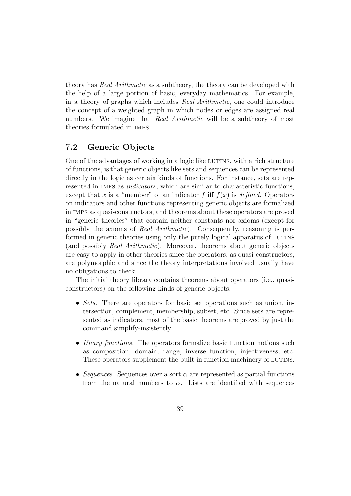theory has Real Arithmetic as a subtheory, the theory can be developed with the help of a large portion of basic, everyday mathematics. For example, in a theory of graphs which includes Real Arithmetic, one could introduce the concept of a weighted graph in which nodes or edges are assigned real numbers. We imagine that Real Arithmetic will be a subtheory of most theories formulated in imps.

## 7.2 Generic Objects

One of the advantages of working in a logic like LUTINS, with a rich structure of functions, is that generic objects like sets and sequences can be represented directly in the logic as certain kinds of functions. For instance, sets are represented in IMPS as *indicators*, which are similar to characteristic functions, except that x is a "member" of an indicator f iff  $f(x)$  is defined. Operators on indicators and other functions representing generic objects are formalized in imps as quasi-constructors, and theorems about these operators are proved in "generic theories" that contain neither constants nor axioms (except for possibly the axioms of Real Arithmetic). Consequently, reasoning is performed in generic theories using only the purely logical apparatus of LUTINS (and possibly Real Arithmetic). Moreover, theorems about generic objects are easy to apply in other theories since the operators, as quasi-constructors, are polymorphic and since the theory interpretations involved usually have no obligations to check.

The initial theory library contains theorems about operators (i.e., quasiconstructors) on the following kinds of generic objects:

- Sets. There are operators for basic set operations such as union, intersection, complement, membership, subset, etc. Since sets are represented as indicators, most of the basic theorems are proved by just the command simplify-insistently.
- Unary functions. The operators formalize basic function notions such as composition, domain, range, inverse function, injectiveness, etc. These operators supplement the built-in function machinery of LUTINS.
- Sequences. Sequences over a sort  $\alpha$  are represented as partial functions from the natural numbers to  $\alpha$ . Lists are identified with sequences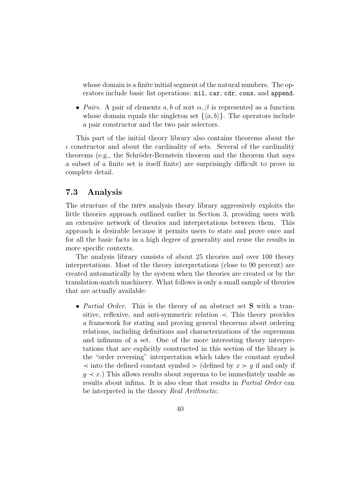whose domain is a finite initial segment of the natural numbers. The operators include basic list operations: nil, car, cdr, cons, and append.

• Pairs. A pair of elements a, b of sort  $\alpha$ ,  $\beta$  is represented as a function whose domain equals the singleton set  $\{\langle a, b \rangle\}$ . The operators include a pair constructor and the two pair selectors.

This part of the initial theory library also contains theorems about the  $\iota$  constructor and about the cardinality of sets. Several of the cardinality theorems (e.g., the Schröder-Bernstein theorem and the theorem that says a subset of a finite set is itself finite) are surprisingly difficult to prove in complete detail.

## 7.3 Analysis

The structure of the imps analysis theory library aggressively exploits the little theories approach outlined earlier in Section 3, providing users with an extensive network of theories and interpretations between them. This approach is desirable because it permits users to state and prove once and for all the basic facts in a high degree of generality and reuse the results in more specific contexts.

The analysis library consists of about 25 theories and over 100 theory interpretations. Most of the theory interpretations (close to 90 percent) are created automatically by the system when the theories are created or by the translation-match machinery. What follows is only a small sample of theories that are actually available:

• *Partial Order*. This is the theory of an abstract set **S** with a transitive, reflexive, and anti-symmetric relation ≺. This theory provides a framework for stating and proving general theorems about ordering relations, including definitions and characterizations of the supremum and infimum of a set. One of the more interesting theory interpretations that are explicitly constructed in this section of the library is the "order reversing" interpretation which takes the constant symbol  $\prec$  into the defined constant symbol  $\succ$  (defined by  $x \succ y$  if and only if  $y \prec x$ .) This allows results about suprema to be immediately usable as results about infima. It is also clear that results in Partial Order can be interpreted in the theory Real Arithmetic.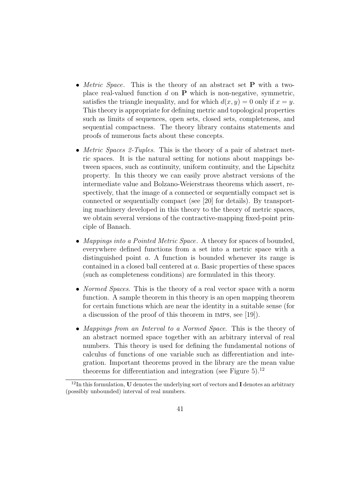- Metric Space. This is the theory of an abstract set **P** with a twoplace real-valued function  $d$  on  $P$  which is non-negative, symmetric, satisfies the triangle inequality, and for which  $d(x, y) = 0$  only if  $x = y$ . This theory is appropriate for defining metric and topological properties such as limits of sequences, open sets, closed sets, completeness, and sequential compactness. The theory library contains statements and proofs of numerous facts about these concepts.
- *Metric Spaces 2-Tuples*. This is the theory of a pair of abstract metric spaces. It is the natural setting for notions about mappings between spaces, such as continuity, uniform continuity, and the Lipschitz property. In this theory we can easily prove abstract versions of the intermediate value and Bolzano-Weierstrass theorems which assert, respectively, that the image of a connected or sequentially compact set is connected or sequentially compact (see [20] for details). By transporting machinery developed in this theory to the theory of metric spaces, we obtain several versions of the contractive-mapping fixed-point principle of Banach.
- Mappings into a Pointed Metric Space. A theory for spaces of bounded, everywhere defined functions from a set into a metric space with a distinguished point a. A function is bounded whenever its range is contained in a closed ball centered at a. Basic properties of these spaces (such as completeness conditions) are formulated in this theory.
- *Normed Spaces*. This is the theory of a real vector space with a norm function. A sample theorem in this theory is an open mapping theorem for certain functions which are near the identity in a suitable sense (for a discussion of the proof of this theorem in imps, see [19]).
- Mappings from an Interval to a Normed Space. This is the theory of an abstract normed space together with an arbitrary interval of real numbers. This theory is used for defining the fundamental notions of calculus of functions of one variable such as differentiation and integration. Important theorems proved in the library are the mean value theorems for differentiation and integration (see Figure  $5$ ).<sup>12</sup>

 $12$ In this formulation, U denotes the underlying sort of vectors and I denotes an arbitrary (possibly unbounded) interval of real numbers.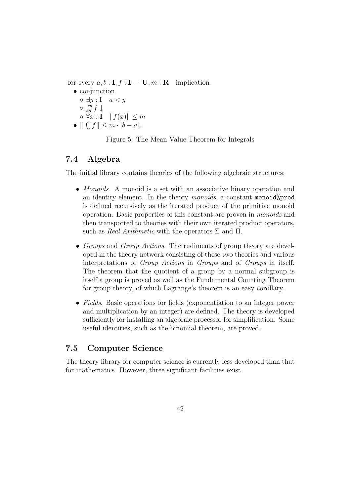for every  $a, b : I, f : I \to U, m : R$  implication

• conjunction  $\circ \exists y : \mathbf{I} \quad a < y$  $\circ$   $\int_a^b f \downarrow$  $\circ \forall x : \mathbf{I} \quad ||f(x)|| \leq m$ •  $\| \int_a^b f \| \le m \cdot |b - a|.$ 

Figure 5: The Mean Value Theorem for Integrals

## 7.4 Algebra

The initial library contains theories of the following algebraic structures:

- *Monoids*. A monoid is a set with an associative binary operation and an identity element. In the theory *monoids*, a constant monoid%prod is defined recursively as the iterated product of the primitive monoid operation. Basic properties of this constant are proven in monoids and then transported to theories with their own iterated product operators, such as Real Arithmetic with the operators  $\Sigma$  and  $\Pi$ .
- Groups and Group Actions. The rudiments of group theory are developed in the theory network consisting of these two theories and various interpretations of Group Actions in Groups and of Groups in itself. The theorem that the quotient of a group by a normal subgroup is itself a group is proved as well as the Fundamental Counting Theorem for group theory, of which Lagrange's theorem is an easy corollary.
- Fields. Basic operations for fields (exponentiation to an integer power and multiplication by an integer) are defined. The theory is developed sufficiently for installing an algebraic processor for simplification. Some useful identities, such as the binomial theorem, are proved.

## 7.5 Computer Science

The theory library for computer science is currently less developed than that for mathematics. However, three significant facilities exist.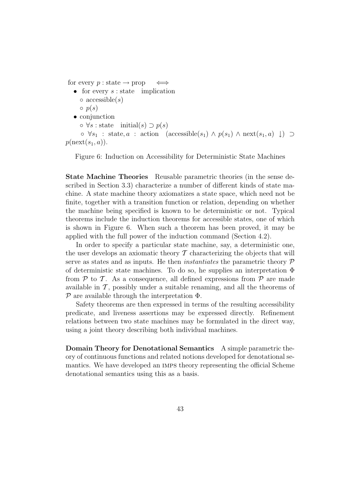for every  $p : state \rightarrow prop$ 

- for every  $s:state$  implication  $\circ$  accessible $(s)$ 
	- $\circ$   $p(s)$
- conjunction
	- $\circ \forall s :$  state initial(s)  $\supset p(s)$

 $\circ \forall s_1 : \text{state}, a : \text{action} \quad (\text{accessible}(s_1) \land p(s_1) \land \text{next}(s_1, a) \downarrow) \supset$  $p(\text{next}(s_1, a)).$ 

Figure 6: Induction on Accessibility for Deterministic State Machines

State Machine Theories Reusable parametric theories (in the sense described in Section 3.3) characterize a number of different kinds of state machine. A state machine theory axiomatizes a state space, which need not be finite, together with a transition function or relation, depending on whether the machine being specified is known to be deterministic or not. Typical theorems include the induction theorems for accessible states, one of which is shown in Figure 6. When such a theorem has been proved, it may be applied with the full power of the induction command (Section 4.2).

In order to specify a particular state machine, say, a deterministic one, the user develops an axiomatic theory  $\mathcal T$  characterizing the objects that will serve as states and as inputs. He then *instantiates* the parametric theory  $\mathcal{P}$ of deterministic state machines. To do so, he supplies an interpretation  $\Phi$ from  $P$  to T. As a consequence, all defined expressions from  $P$  are made available in  $\mathcal T$ , possibly under a suitable renaming, and all the theorems of P are available through the interpretation  $\Phi$ .

Safety theorems are then expressed in terms of the resulting accessibility predicate, and liveness assertions may be expressed directly. Refinement relations between two state machines may be formulated in the direct way, using a joint theory describing both individual machines.

Domain Theory for Denotational Semantics A simple parametric theory of continuous functions and related notions developed for denotational semantics. We have developed an imps theory representing the official Scheme denotational semantics using this as a basis.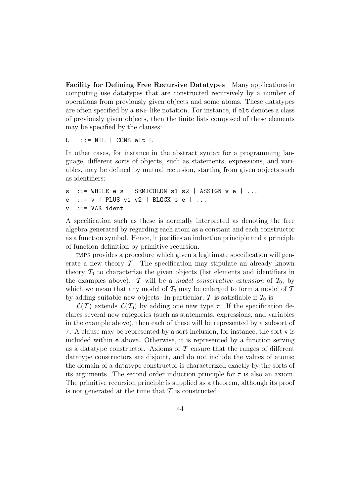Facility for Defining Free Recursive Datatypes Many applications in computing use datatypes that are constructed recursively by a number of operations from previously given objects and some atoms. These datatypes are often specified by a BNF-like notation. For instance, if elt denotes a class of previously given objects, then the finite lists composed of these elements may be specified by the clauses:

 $L$  ::= NIL | CONS elt L

In other cases, for instance in the abstract syntax for a programming language, different sorts of objects, such as statements, expressions, and variables, may be defined by mutual recursion, starting from given objects such as identifiers:

```
s ::= WHILE e s | SEMICOLON s1 s2 | ASSIGN v e | ...
e ::= v | PLUS v1 v2 | BLOCK s e | ...
v ::= VAR ident
```
A specification such as these is normally interpreted as denoting the free algebra generated by regarding each atom as a constant and each constructor as a function symbol. Hence, it justifies an induction principle and a principle of function definition by primitive recursion.

imps provides a procedure which given a legitimate specification will generate a new theory  $\mathcal T$ . The specification may stipulate an already known theory  $\mathcal{T}_0$  to characterize the given objects (list elements and identifiers in the examples above). T will be a *model conservative extension* of  $\mathcal{T}_0$ , by which we mean that any model of  $\mathcal{T}_0$  may be enlarged to form a model of  $\mathcal{T}$ by adding suitable new objects. In particular,  $\mathcal T$  is satisfiable if  $\mathcal T_0$  is.

 $\mathcal{L}(\mathcal{T})$  extends  $\mathcal{L}(\mathcal{T}_0)$  by adding one new type  $\tau$ . If the specification declares several new categories (such as statements, expressions, and variables in the example above), then each of these will be represented by a subsort of  $\tau$ . A clause may be represented by a sort inclusion; for instance, the sort v is included within e above. Otherwise, it is represented by a function serving as a datatype constructor. Axioms of  $\mathcal T$  ensure that the ranges of different datatype constructors are disjoint, and do not include the values of atoms; the domain of a datatype constructor is characterized exactly by the sorts of its arguments. The second order induction principle for  $\tau$  is also an axiom. The primitive recursion principle is supplied as a theorem, although its proof is not generated at the time that  $\mathcal T$  is constructed.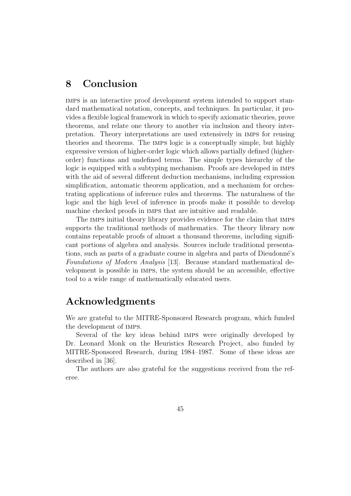## 8 Conclusion

imps is an interactive proof development system intended to support standard mathematical notation, concepts, and techniques. In particular, it provides a flexible logical framework in which to specify axiomatic theories, prove theorems, and relate one theory to another via inclusion and theory interpretation. Theory interpretations are used extensively in imps for reusing theories and theorems. The imps logic is a conceptually simple, but highly expressive version of higher-order logic which allows partially defined (higherorder) functions and undefined terms. The simple types hierarchy of the logic is equipped with a subtyping mechanism. Proofs are developed in imps with the aid of several different deduction mechanisms, including expression simplification, automatic theorem application, and a mechanism for orchestrating applications of inference rules and theorems. The naturalness of the logic and the high level of inference in proofs make it possible to develop machine checked proofs in IMPS that are intuitive and readable.

The IMPS initial theory library provides evidence for the claim that IMPS supports the traditional methods of mathematics. The theory library now contains repeatable proofs of almost a thousand theorems, including significant portions of algebra and analysis. Sources include traditional presentations, such as parts of a graduate course in algebra and parts of Dieudonné's Foundations of Modern Analysis [13]. Because standard mathematical development is possible in imps, the system should be an accessible, effective tool to a wide range of mathematically educated users.

## Acknowledgments

We are grateful to the MITRE-Sponsored Research program, which funded the development of imps.

Several of the key ideas behind imps were originally developed by Dr. Leonard Monk on the Heuristics Research Project, also funded by MITRE-Sponsored Research, during 1984–1987. Some of these ideas are described in [36].

The authors are also grateful for the suggestions received from the referee.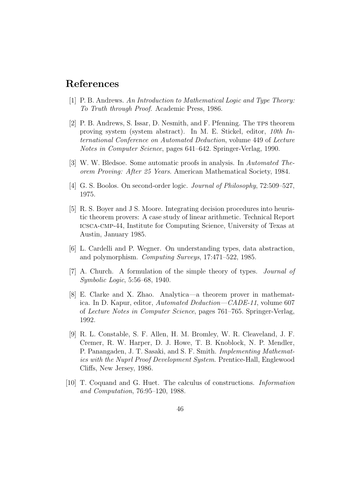## References

- [1] P. B. Andrews. An Introduction to Mathematical Logic and Type Theory: To Truth through Proof. Academic Press, 1986.
- [2] P. B. Andrews, S. Issar, D. Nesmith, and F. Pfenning. The TPS theorem proving system (system abstract). In M. E. Stickel, editor, 10th International Conference on Automated Deduction, volume 449 of Lecture Notes in Computer Science, pages 641–642. Springer-Verlag, 1990.
- [3] W. W. Bledsoe. Some automatic proofs in analysis. In Automated Theorem Proving: After 25 Years. American Mathematical Society, 1984.
- [4] G. S. Boolos. On second-order logic. *Journal of Philosophy*, 72:509–527, 1975.
- [5] R. S. Boyer and J S. Moore. Integrating decision procedures into heuristic theorem provers: A case study of linear arithmetic. Technical Report icsca-cmp-44, Institute for Computing Science, University of Texas at Austin, January 1985.
- [6] L. Cardelli and P. Wegner. On understanding types, data abstraction, and polymorphism. Computing Surveys, 17:471–522, 1985.
- [7] A. Church. A formulation of the simple theory of types. Journal of Symbolic Logic, 5:56–68, 1940.
- [8] E. Clarke and X. Zhao. Analytica—a theorem prover in mathematica. In D. Kapur, editor, Automated Deduction—CADE-11, volume 607 of Lecture Notes in Computer Science, pages 761–765. Springer-Verlag, 1992.
- [9] R. L. Constable, S. F. Allen, H. M. Bromley, W. R. Cleaveland, J. F. Cremer, R. W. Harper, D. J. Howe, T. B. Knoblock, N. P. Mendler, P. Panangaden, J. T. Sasaki, and S. F. Smith. Implementing Mathematics with the Nuprl Proof Development System. Prentice-Hall, Englewood Cliffs, New Jersey, 1986.
- [10] T. Coquand and G. Huet. The calculus of constructions. Information and Computation, 76:95–120, 1988.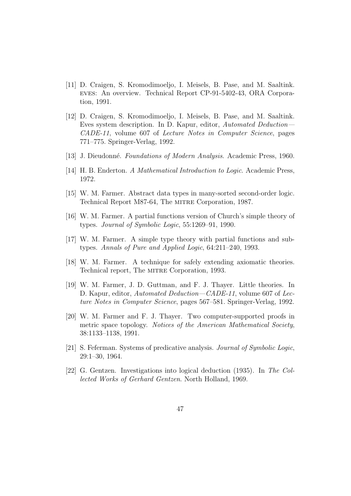- [11] D. Craigen, S. Kromodimoeljo, I. Meisels, B. Pase, and M. Saaltink. eves: An overview. Technical Report CP-91-5402-43, ORA Corporation, 1991.
- [12] D. Craigen, S. Kromodimoeljo, I. Meisels, B. Pase, and M. Saaltink. Eves system description. In D. Kapur, editor, Automated Deduction— CADE-11, volume 607 of Lecture Notes in Computer Science, pages 771–775. Springer-Verlag, 1992.
- [13] J. Dieudonné. Foundations of Modern Analysis. Academic Press, 1960.
- [14] H. B. Enderton. A Mathematical Introduction to Logic. Academic Press, 1972.
- [15] W. M. Farmer. Abstract data types in many-sorted second-order logic. Technical Report M87-64, The MITRE Corporation, 1987.
- [16] W. M. Farmer. A partial functions version of Church's simple theory of types. Journal of Symbolic Logic, 55:1269–91, 1990.
- [17] W. M. Farmer. A simple type theory with partial functions and subtypes. Annals of Pure and Applied Logic, 64:211–240, 1993.
- [18] W. M. Farmer. A technique for safely extending axiomatic theories. Technical report, The MITRE Corporation, 1993.
- [19] W. M. Farmer, J. D. Guttman, and F. J. Thayer. Little theories. In D. Kapur, editor, Automated Deduction—CADE-11, volume 607 of Lecture Notes in Computer Science, pages 567–581. Springer-Verlag, 1992.
- [20] W. M. Farmer and F. J. Thayer. Two computer-supported proofs in metric space topology. Notices of the American Mathematical Society, 38:1133–1138, 1991.
- [21] S. Feferman. Systems of predicative analysis. Journal of Symbolic Logic, 29:1–30, 1964.
- [22] G. Gentzen. Investigations into logical deduction (1935). In The Collected Works of Gerhard Gentzen. North Holland, 1969.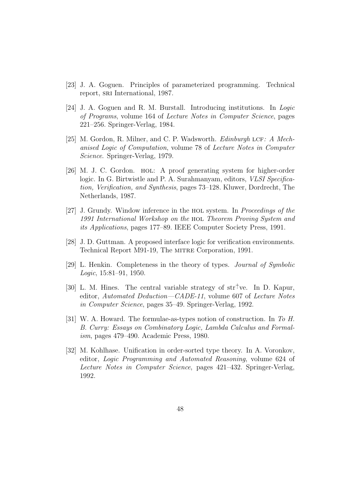- [23] J. A. Goguen. Principles of parameterized programming. Technical report, snI International, 1987.
- [24] J. A. Goguen and R. M. Burstall. Introducing institutions. In Logic of Programs, volume 164 of Lecture Notes in Computer Science, pages 221–256. Springer-Verlag, 1984.
- [25] M. Gordon, R. Milner, and C. P. Wadsworth. Edinburgh LCF: A Mechanised Logic of Computation, volume 78 of Lecture Notes in Computer Science. Springer-Verlag, 1979.
- [26] M. J. C. Gordon. HOL: A proof generating system for higher-order logic. In G. Birtwistle and P. A. Surahmanyam, editors, *VLSI Specifica*tion, Verification, and Synthesis, pages 73–128. Kluwer, Dordrecht, The Netherlands, 1987.
- [27] J. Grundy. Window inference in the hol system. In Proceedings of the 1991 International Workshop on the hol Theorem Proving System and its Applications, pages 177–89. IEEE Computer Society Press, 1991.
- [28] J. D. Guttman. A proposed interface logic for verification environments. Technical Report M91-19, The MITRE Corporation, 1991.
- [29] L. Henkin. Completeness in the theory of types. Journal of Symbolic Logic, 15:81–91, 1950.
- [30] L. M. Hines. The central variable strategy of  $str<sup>+</sup>ve$ . In D. Kapur, editor, Automated Deduction—CADE-11, volume 607 of Lecture Notes in Computer Science, pages 35–49. Springer-Verlag, 1992.
- [31] W. A. Howard. The formulae-as-types notion of construction. In To H. B. Curry: Essays on Combinatory Logic, Lambda Calculus and Formalism, pages 479–490. Academic Press, 1980.
- [32] M. Kohlhase. Unification in order-sorted type theory. In A. Voronkov, editor, Logic Programming and Automated Reasoning, volume 624 of Lecture Notes in Computer Science, pages 421–432. Springer-Verlag, 1992.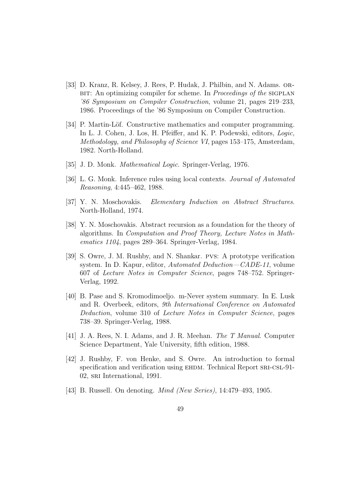- [33] D. Kranz, R. Kelsey, J. Rees, P. Hudak, J. Philbin, and N. Adams. or-BIT: An optimizing compiler for scheme. In *Proceedings of the* SIGPLAN '86 Symposium on Compiler Construction, volume 21, pages 219–233, 1986. Proceedings of the '86 Symposium on Compiler Construction.
- [34] P. Martin-Löf. Constructive mathematics and computer programming. In L. J. Cohen, J. Los, H. Pfeiffer, and K. P. Podewski, editors, Logic, Methodology, and Philosophy of Science VI, pages 153–175, Amsterdam, 1982. North-Holland.
- [35] J. D. Monk. Mathematical Logic. Springer-Verlag, 1976.
- [36] L. G. Monk. Inference rules using local contexts. Journal of Automated Reasoning, 4:445–462, 1988.
- [37] Y. N. Moschovakis. Elementary Induction on Abstract Structures. North-Holland, 1974.
- [38] Y. N. Moschovakis. Abstract recursion as a foundation for the theory of algorithms. In Computation and Proof Theory, Lecture Notes in Mathematics 1104, pages 289–364. Springer-Verlag, 1984.
- [39] S. Owre, J. M. Rushby, and N. Shankar. pvs: A prototype verification system. In D. Kapur, editor, Automated Deduction—CADE-11, volume 607 of Lecture Notes in Computer Science, pages 748–752. Springer-Verlag, 1992.
- [40] B. Pase and S. Kromodimoeljo. m-Never system summary. In E. Lusk and R. Overbeek, editors, 9th International Conference on Automated Deduction, volume 310 of Lecture Notes in Computer Science, pages 738–39. Springer-Verlag, 1988.
- [41] J. A. Rees, N. I. Adams, and J. R. Meehan. The T Manual. Computer Science Department, Yale University, fifth edition, 1988.
- [42] J. Rushby, F. von Henke, and S. Owre. An introduction to formal specification and verification using EHDM. Technical Report SRI-CSL-91-02, sri International, 1991.
- [43] B. Russell. On denoting. Mind (New Series), 14:479–493, 1905.